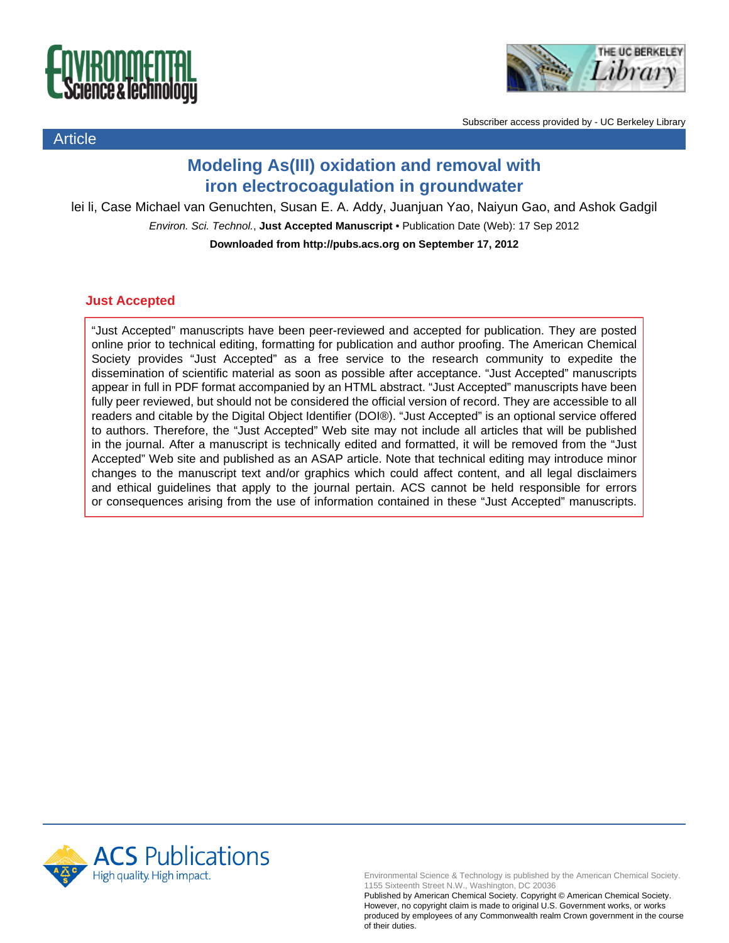

Article



Subscriber access provided by - UC Berkeley Library

## **Modeling As(III) oxidation and removal with iron electrocoagulation in groundwater**

lei li, Case Michael van Genuchten, Susan E. A. Addy, Juanjuan Yao, Naiyun Gao, and Ashok Gadgil

Environ. Sci. Technol., **Just Accepted Manuscript** • Publication Date (Web): 17 Sep 2012

**Downloaded from http://pubs.acs.org on September 17, 2012**

## **Just Accepted**

"Just Accepted" manuscripts have been peer-reviewed and accepted for publication. They are posted online prior to technical editing, formatting for publication and author proofing. The American Chemical Society provides "Just Accepted" as a free service to the research community to expedite the dissemination of scientific material as soon as possible after acceptance. "Just Accepted" manuscripts appear in full in PDF format accompanied by an HTML abstract. "Just Accepted" manuscripts have been fully peer reviewed, but should not be considered the official version of record. They are accessible to all readers and citable by the Digital Object Identifier (DOI®). "Just Accepted" is an optional service offered to authors. Therefore, the "Just Accepted" Web site may not include all articles that will be published in the journal. After a manuscript is technically edited and formatted, it will be removed from the "Just Accepted" Web site and published as an ASAP article. Note that technical editing may introduce minor changes to the manuscript text and/or graphics which could affect content, and all legal disclaimers and ethical guidelines that apply to the journal pertain. ACS cannot be held responsible for errors or consequences arising from the use of information contained in these "Just Accepted" manuscripts.



Environmental Science & Technology is published by the American Chemical Society. 1155 Sixteenth Street N.W., Washington, DC 20036

Published by American Chemical Society. Copyright © American Chemical Society. However, no copyright claim is made to original U.S. Government works, or works produced by employees of any Commonwealth realm Crown government in the course of their duties.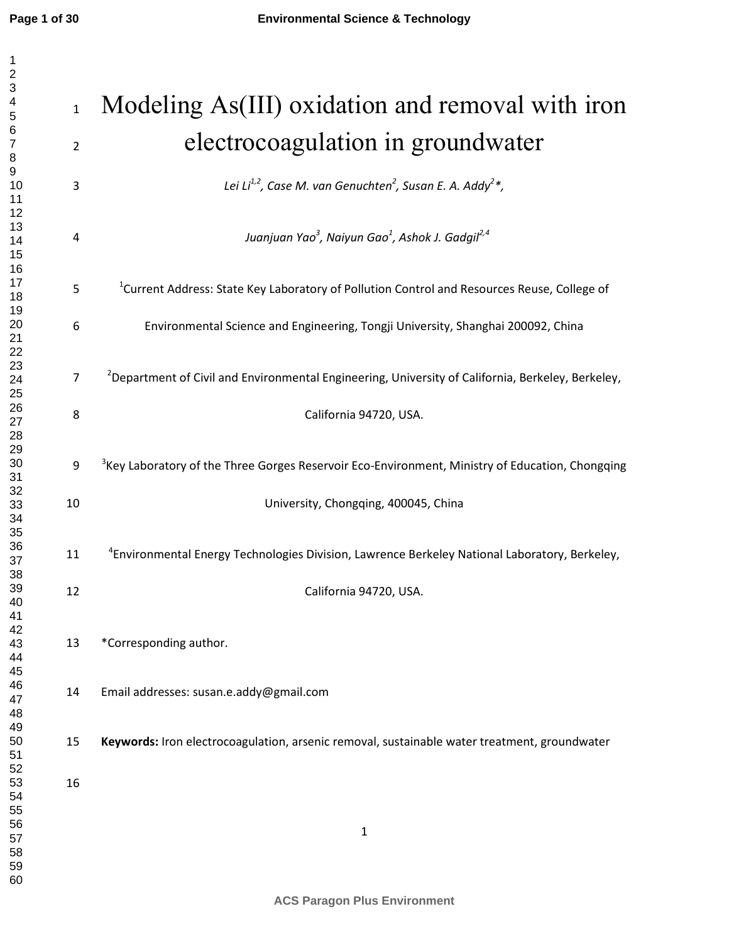| $\frac{2}{3}$    |                |                                                                                                               |
|------------------|----------------|---------------------------------------------------------------------------------------------------------------|
| 4                |                |                                                                                                               |
| 5                | $\mathbf{1}$   | Modeling As(III) oxidation and removal with iron                                                              |
| 6                |                |                                                                                                               |
| $\boldsymbol{7}$ | $\overline{2}$ | electrocoagulation in groundwater                                                                             |
| 8<br>9           |                |                                                                                                               |
| 10               | 3              | Lei Li <sup>1,2</sup> , Case M. van Genuchten <sup>2</sup> , Susan E. A. Addy <sup>2</sup> *,                 |
| 11               |                |                                                                                                               |
| 12               |                |                                                                                                               |
| 13<br>14         | 4              | Juanjuan Yao <sup>3</sup> , Naiyun Gao <sup>1</sup> , Ashok J. Gadgil <sup>2,4</sup>                          |
| 15               |                |                                                                                                               |
| 16               |                |                                                                                                               |
| 17               | 5              | <sup>1</sup> Current Address: State Key Laboratory of Pollution Control and Resources Reuse, College of       |
| 18<br>19         |                |                                                                                                               |
| 20               | 6              | Environmental Science and Engineering, Tongji University, Shanghai 200092, China                              |
| 21               |                |                                                                                                               |
| 22               |                |                                                                                                               |
| 23<br>24         | 7              | <sup>2</sup> Department of Civil and Environmental Engineering, University of California, Berkeley, Berkeley, |
| 25               |                |                                                                                                               |
| 26               | 8              | California 94720, USA.                                                                                        |
| 27               |                |                                                                                                               |
| 28<br>29         |                |                                                                                                               |
| 30               | 9              | <sup>3</sup> Key Laboratory of the Three Gorges Reservoir Eco-Environment, Ministry of Education, Chongqing   |
| 31               |                |                                                                                                               |
| 32               |                |                                                                                                               |
| 33<br>34         | 10             | University, Chongqing, 400045, China                                                                          |
| 35               |                |                                                                                                               |
| 36               |                |                                                                                                               |
| 37               | 11             | <sup>4</sup> Environmental Energy Technologies Division, Lawrence Berkeley National Laboratory, Berkeley,     |
| 38<br>39         |                |                                                                                                               |
| 40               | 12             | California 94720, USA.                                                                                        |
| 41               |                |                                                                                                               |
| 42               |                |                                                                                                               |
| 43<br>44         | 13             | *Corresponding author.                                                                                        |
| 45               |                |                                                                                                               |
| 46               |                |                                                                                                               |
| 47               | 14             | Email addresses: susan.e.addy@gmail.com                                                                       |
| 48               |                |                                                                                                               |
| 49<br>50         | 15             | Keywords: Iron electrocoagulation, arsenic removal, sustainable water treatment, groundwater                  |
| 51               |                |                                                                                                               |
| 52               |                |                                                                                                               |
| 53               | 16             |                                                                                                               |
| 54<br>55         |                |                                                                                                               |
| 56               |                |                                                                                                               |
| 57               |                | $\mathbf 1$                                                                                                   |
| 58               |                |                                                                                                               |
| 59<br>60         |                |                                                                                                               |
|                  |                |                                                                                                               |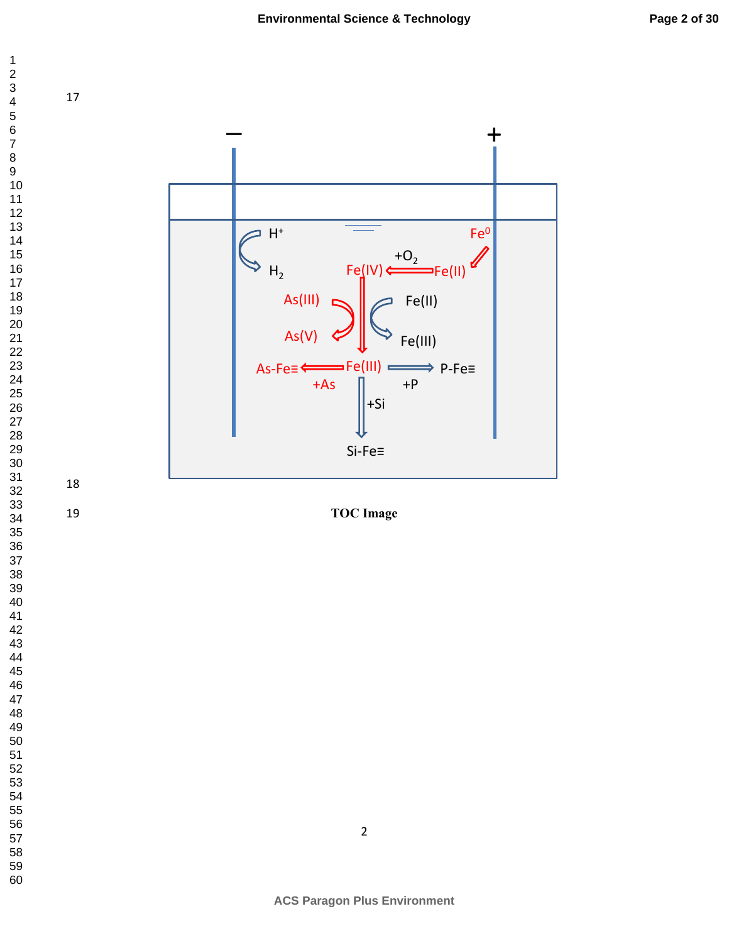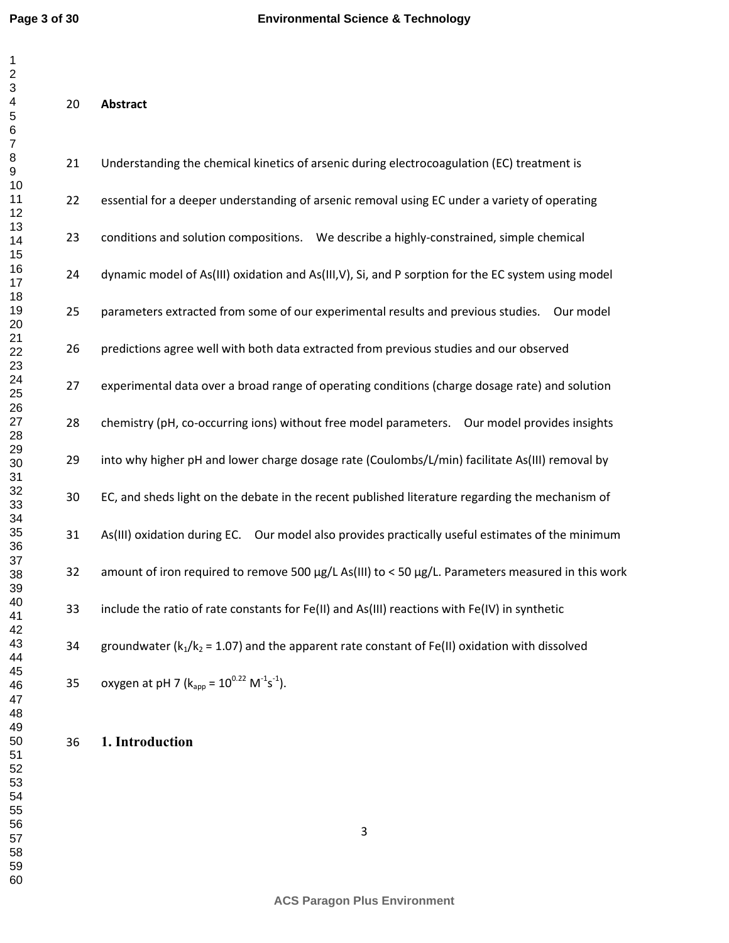| 21 | Understanding the chemical kinetics of arsenic during electrocoagulation (EC) treatment is          |
|----|-----------------------------------------------------------------------------------------------------|
| 22 | essential for a deeper understanding of arsenic removal using EC under a variety of operating       |
| 23 | conditions and solution compositions.  We describe a highly-constrained, simple chemical            |
| 24 | dynamic model of As(III) oxidation and As(III, V), Si, and P sorption for the EC system using model |
| 25 | parameters extracted from some of our experimental results and previous studies.  Our model         |
| 26 | predictions agree well with both data extracted from previous studies and our observed              |
| 27 | experimental data over a broad range of operating conditions (charge dosage rate) and solution      |
| 28 | chemistry (pH, co-occurring ions) without free model parameters.  Our model provides insights       |
| 29 | into why higher pH and lower charge dosage rate (Coulombs/L/min) facilitate As(III) removal by      |
| 30 | EC, and sheds light on the debate in the recent published literature regarding the mechanism of     |
| 31 | As(III) oxidation during EC. Our model also provides practically useful estimates of the minimum    |
| 32 | amount of iron required to remove 500 µg/L As(III) to < 50 µg/L. Parameters measured in this work   |
| 33 | include the ratio of rate constants for Fe(II) and As(III) reactions with Fe(IV) in synthetic       |
| 34 | groundwater ( $k_1/k_2$ = 1.07) and the apparent rate constant of Fe(II) oxidation with dissolved   |
| 35 | oxygen at pH 7 ( $k_{app} = 10^{0.22}$ M <sup>-1</sup> s <sup>-1</sup> ).                           |

**1. Introduction**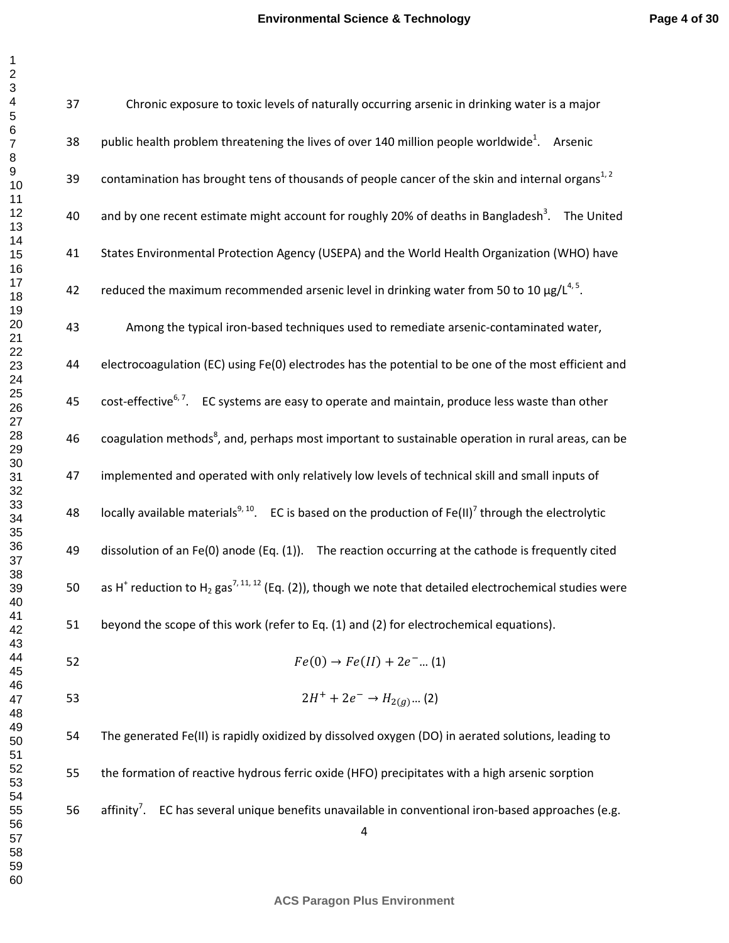| 37 | Chronic exposure to toxic levels of naturally occurring arsenic in drinking water is a major                                                |
|----|---------------------------------------------------------------------------------------------------------------------------------------------|
| 38 | public health problem threatening the lives of over 140 million people worldwide <sup>1</sup> . Arsenic                                     |
| 39 | contamination has brought tens of thousands of people cancer of the skin and internal organs <sup>1,2</sup>                                 |
| 40 | and by one recent estimate might account for roughly 20% of deaths in Bangladesh <sup>3</sup> . The United                                  |
| 41 | States Environmental Protection Agency (USEPA) and the World Health Organization (WHO) have                                                 |
| 42 | reduced the maximum recommended arsenic level in drinking water from 50 to 10 $\mu$ g/ $L^{4,5}$ .                                          |
| 43 | Among the typical iron-based techniques used to remediate arsenic-contaminated water,                                                       |
| 44 | electrocoagulation (EC) using Fe(0) electrodes has the potential to be one of the most efficient and                                        |
| 45 | $\text{cost-effective}$ <sup>6,7</sup> . EC systems are easy to operate and maintain, produce less waste than other                         |
| 46 | coagulation methods <sup>8</sup> , and, perhaps most important to sustainable operation in rural areas, can be                              |
| 47 | implemented and operated with only relatively low levels of technical skill and small inputs of                                             |
| 48 | locally available materials <sup>9, 10</sup> . EC is based on the production of Fe(II) <sup>7</sup> through the electrolytic                |
| 49 | dissolution of an $Fe(0)$ anode (Eq. (1)). The reaction occurring at the cathode is frequently cited                                        |
| 50 | as H <sup>+</sup> reduction to H <sub>2</sub> gas <sup>7, 11, 12</sup> (Eq. (2)), though we note that detailed electrochemical studies were |
| 51 | beyond the scope of this work (refer to Eq. (1) and (2) for electrochemical equations).                                                     |
| 52 | $Fe(0) \rightarrow Fe(II) + 2e^{-}$ (1)                                                                                                     |
| 53 | $2H^+ + 2e^- \rightarrow H_{2(g)} (2)$                                                                                                      |
| 54 | The generated Fe(II) is rapidly oxidized by dissolved oxygen (DO) in aerated solutions, leading to                                          |
| 55 | the formation of reactive hydrous ferric oxide (HFO) precipitates with a high arsenic sorption                                              |
| 56 | affinity <sup>7</sup> . EC has several unique benefits unavailable in conventional iron-based approaches (e.g.<br>$\overline{4}$            |

**ACS Paragon Plus Environment**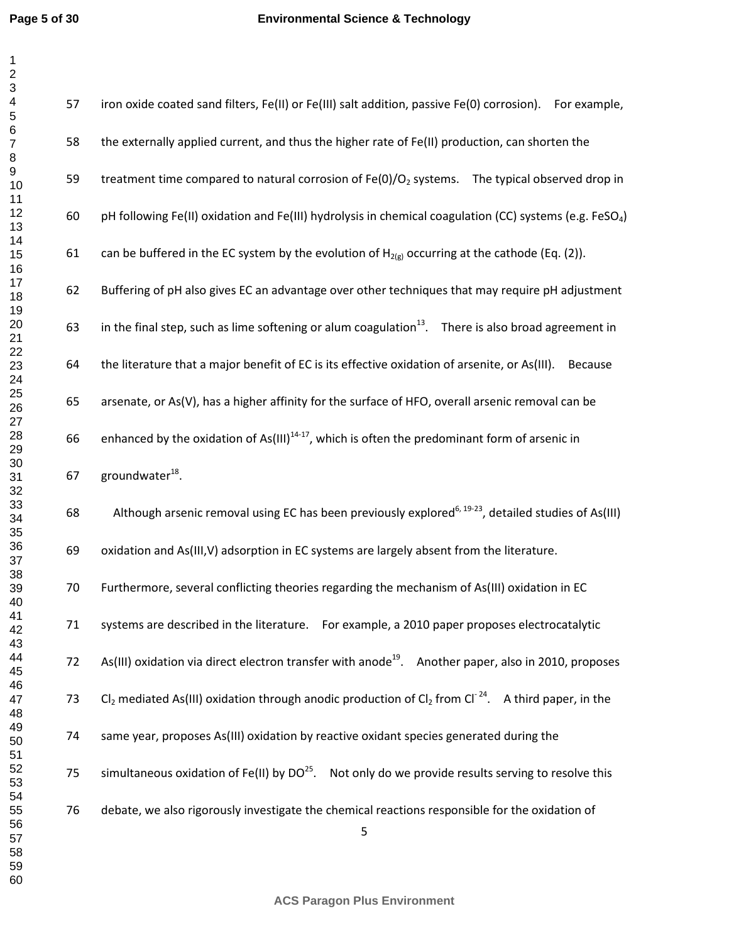| 57 | iron oxide coated sand filters, Fe(II) or Fe(III) salt addition, passive Fe(0) corrosion). For example,              |
|----|----------------------------------------------------------------------------------------------------------------------|
| 58 | the externally applied current, and thus the higher rate of Fe(II) production, can shorten the                       |
| 59 | treatment time compared to natural corrosion of $Fe(0)/O2$ systems. The typical observed drop in                     |
| 60 | pH following Fe(II) oxidation and Fe(III) hydrolysis in chemical coagulation (CC) systems (e.g. FeSO <sub>4</sub> )  |
| 61 | can be buffered in the EC system by the evolution of $H_{2(g)}$ occurring at the cathode (Eq. (2)).                  |
| 62 | Buffering of pH also gives EC an advantage over other techniques that may require pH adjustment                      |
| 63 | in the final step, such as lime softening or alum coagulation $13$ . There is also broad agreement in                |
| 64 | the literature that a major benefit of EC is its effective oxidation of arsenite, or As(III).<br>Because             |
| 65 | arsenate, or As(V), has a higher affinity for the surface of HFO, overall arsenic removal can be                     |
| 66 | enhanced by the oxidation of As(III) <sup>14-17</sup> , which is often the predominant form of arsenic in            |
| 67 | groundwater <sup>18</sup> .                                                                                          |
| 68 | Although arsenic removal using EC has been previously explored <sup>6, 19-23</sup> , detailed studies of As(III)     |
| 69 | oxidation and As(III, V) adsorption in EC systems are largely absent from the literature.                            |
| 70 | Furthermore, several conflicting theories regarding the mechanism of As(III) oxidation in EC                         |
| 71 | systems are described in the literature. For example, a 2010 paper proposes electrocatalytic                         |
| 72 | As(III) oxidation via direct electron transfer with anode <sup>19</sup> . Another paper, also in 2010, proposes      |
| 73 | $Cl_2$ mediated As(III) oxidation through anodic production of $Cl_2$ from Cl <sup>-24</sup> . A third paper, in the |
| 74 | same year, proposes As(III) oxidation by reactive oxidant species generated during the                               |
| 75 | simultaneous oxidation of Fe(II) by $DO^{25}$ . Not only do we provide results serving to resolve this               |
| 76 | debate, we also rigorously investigate the chemical reactions responsible for the oxidation of<br>5                  |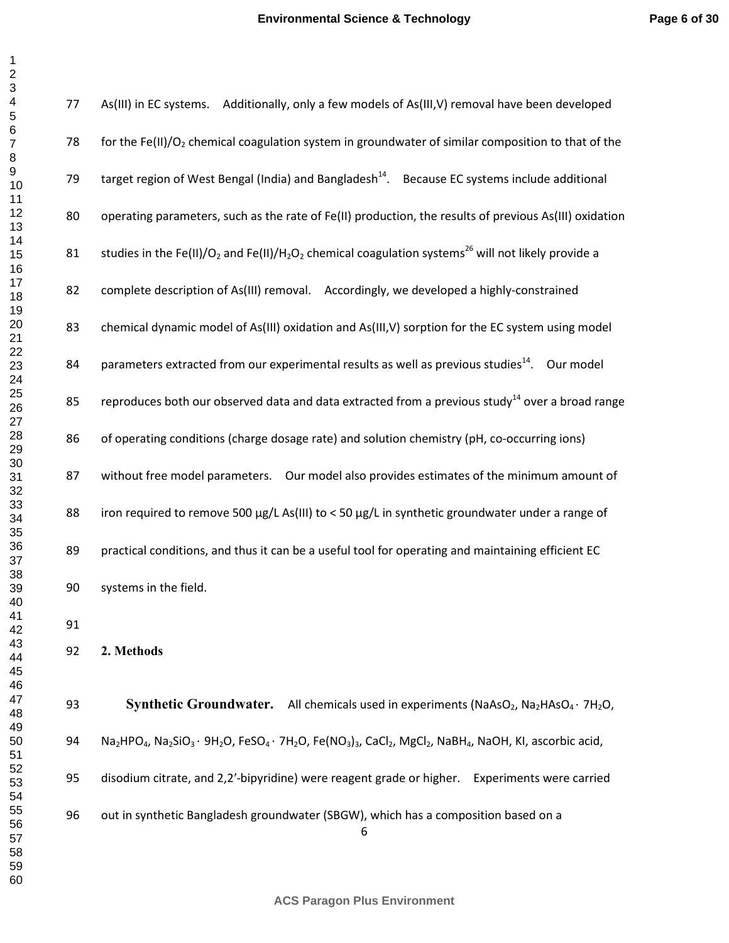| $\frac{2}{5}$          |  |
|------------------------|--|
|                        |  |
|                        |  |
|                        |  |
|                        |  |
|                        |  |
|                        |  |
|                        |  |
|                        |  |
|                        |  |
|                        |  |
|                        |  |
|                        |  |
|                        |  |
|                        |  |
|                        |  |
|                        |  |
|                        |  |
|                        |  |
|                        |  |
|                        |  |
|                        |  |
|                        |  |
|                        |  |
|                        |  |
|                        |  |
|                        |  |
|                        |  |
|                        |  |
|                        |  |
|                        |  |
|                        |  |
|                        |  |
|                        |  |
|                        |  |
|                        |  |
|                        |  |
| 3:<br>36<br>37<br>38 9 |  |
|                        |  |
|                        |  |
| 39                     |  |
| 40                     |  |
| 41                     |  |
| 42                     |  |
| 43                     |  |
| 44                     |  |
| 45                     |  |
|                        |  |
| 46                     |  |
| 47                     |  |
| 48                     |  |
| 49                     |  |
| 50                     |  |
| 51                     |  |
| 5                      |  |
|                        |  |
| 53<br>54               |  |
| -<br>55                |  |
| -<br>56<br>έ           |  |
| 57                     |  |
|                        |  |
| 58                     |  |
| 59                     |  |
| 60                     |  |

| 77 | As(III) in EC systems. Additionally, only a few models of As(III, V) removal have been developed                                                                                                                                                         |
|----|----------------------------------------------------------------------------------------------------------------------------------------------------------------------------------------------------------------------------------------------------------|
| 78 | for the Fe(II)/O <sub>2</sub> chemical coagulation system in groundwater of similar composition to that of the                                                                                                                                           |
| 79 | target region of West Bengal (India) and Bangladesh <sup>14</sup> . Because EC systems include additional                                                                                                                                                |
| 80 | operating parameters, such as the rate of Fe(II) production, the results of previous As(III) oxidation                                                                                                                                                   |
| 81 | studies in the Fe(II)/O <sub>2</sub> and Fe(II)/H <sub>2</sub> O <sub>2</sub> chemical coagulation systems <sup>26</sup> will not likely provide a                                                                                                       |
| 82 | complete description of As(III) removal. Accordingly, we developed a highly-constrained                                                                                                                                                                  |
| 83 | chemical dynamic model of As(III) oxidation and As(III, V) sorption for the EC system using model                                                                                                                                                        |
| 84 | parameters extracted from our experimental results as well as previous studies <sup>14</sup> . Our model                                                                                                                                                 |
| 85 | reproduces both our observed data and data extracted from a previous study <sup>14</sup> over a broad range                                                                                                                                              |
| 86 | of operating conditions (charge dosage rate) and solution chemistry (pH, co-occurring ions)                                                                                                                                                              |
| 87 | without free model parameters.  Our model also provides estimates of the minimum amount of                                                                                                                                                               |
| 88 | iron required to remove 500 $\mu$ g/L As(III) to < 50 $\mu$ g/L in synthetic groundwater under a range of                                                                                                                                                |
| 89 | practical conditions, and thus it can be a useful tool for operating and maintaining efficient EC                                                                                                                                                        |
| 90 | systems in the field.                                                                                                                                                                                                                                    |
| 91 |                                                                                                                                                                                                                                                          |
| 92 | 2. Methods                                                                                                                                                                                                                                               |
| 93 | <b>Synthetic Groundwater.</b> All chemicals used in experiments (NaAsO <sub>2</sub> , Na <sub>2</sub> HAsO <sub>4</sub> · 7H <sub>2</sub> O,                                                                                                             |
| 94 | Na <sub>2</sub> HPO <sub>4</sub> , Na <sub>2</sub> SiO <sub>3</sub> · 9H <sub>2</sub> O, FeSO <sub>4</sub> · 7H <sub>2</sub> O, Fe(NO <sub>3</sub> ) <sub>3</sub> , CaCl <sub>2</sub> , MgCl <sub>2</sub> , NaBH <sub>4</sub> , NaOH, KI, ascorbic acid, |
| 95 | disodium citrate, and 2,2'-bipyridine) were reagent grade or higher.<br><b>Experiments were carried</b>                                                                                                                                                  |
| 96 | out in synthetic Bangladesh groundwater (SBGW), which has a composition based on a<br>6                                                                                                                                                                  |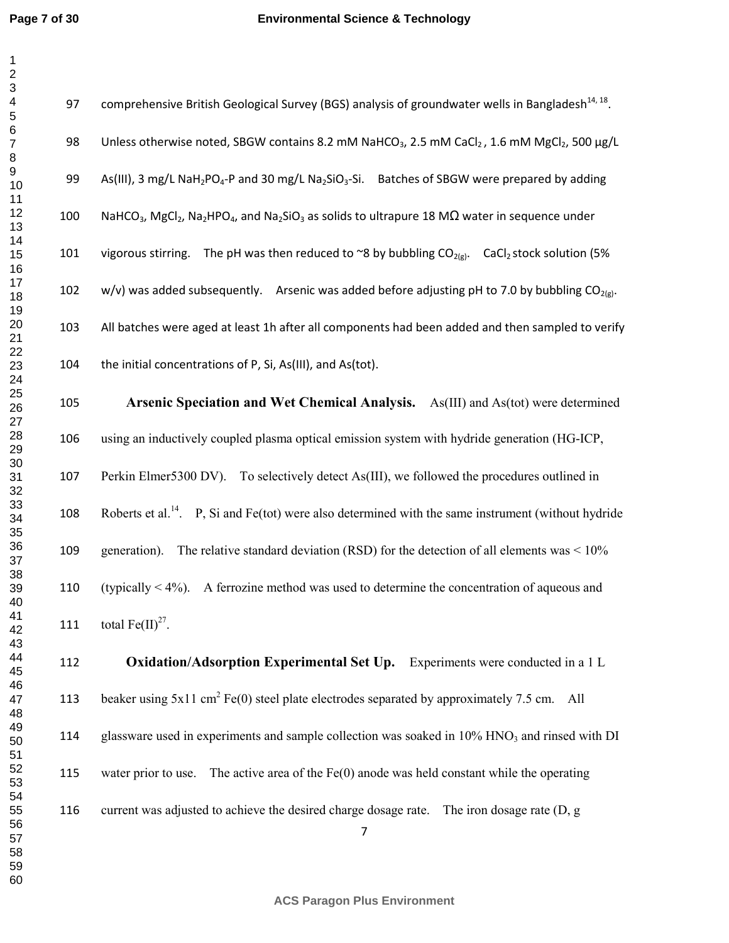97 comprehensive British Geological Survey (BGS) analysis of groundwater wells in Bangladesh<sup>14, 18</sup>. 98 Unless otherwise noted, SBGW contains 8.2 mM NaHCO<sub>3</sub>, 2.5 mM CaCl<sub>2</sub>, 1.6 mM MgCl<sub>2</sub>, 500 ug/L 99 As(III), 3 mg/L NaH<sub>2</sub>PO<sub>4</sub>-P and 30 mg/L Na<sub>2</sub>SiO<sub>3</sub>-Si. Batches of SBGW were prepared by adding 100 NaHCO<sub>3</sub>, MgCl<sub>2</sub>, Na<sub>2</sub>HPO<sub>4</sub>, and Na<sub>2</sub>SiO<sub>3</sub> as solids to ultrapure 18 M $\Omega$  water in sequence under 101 vigorous stirring. The pH was then reduced to ~8 by bubbling  $CO_{2(g)}$ . CaCl<sub>2</sub> stock solution (5% 102 w/v) was added subsequently. Arsenic was added before adjusting pH to 7.0 by bubbling  $CO<sub>20</sub>$ . 103 All batches were aged at least 1h after all components had been added and then sampled to verify 104 the initial concentrations of P, Si, As(III), and As(tot). **Arsenic Speciation and Wet Chemical Analysis.** As(III) and As(tot) were determined using an inductively coupled plasma optical emission system with hydride generation (HG-ICP, 107 Perkin Elmer5300 DV). To selectively detect As(III), we followed the procedures outlined in 108 Roberts et al.<sup>14</sup>. P, Si and Fe(tot) were also determined with the same instrument (without hydride generation). The relative standard deviation (RSD) for the detection of all elements was < 10% (typically < 4%). A ferrozine method was used to determine the concentration of aqueous and 111 total  $\text{Fe(II)}^{27}$ . **Oxidation/Adsorption Experimental Set Up.** Experiments were conducted in a 1 L 113 beaker using  $5x11 \text{ cm}^2$  Fe(0) steel plate electrodes separated by approximately 7.5 cm. All

114 glassware used in experiments and sample collection was soaked in  $10\%$  HNO<sub>3</sub> and rinsed with DI

water prior to use. The active area of the Fe(0) anode was held constant while the operating

current was adjusted to achieve the desired charge dosage rate. The iron dosage rate (D, g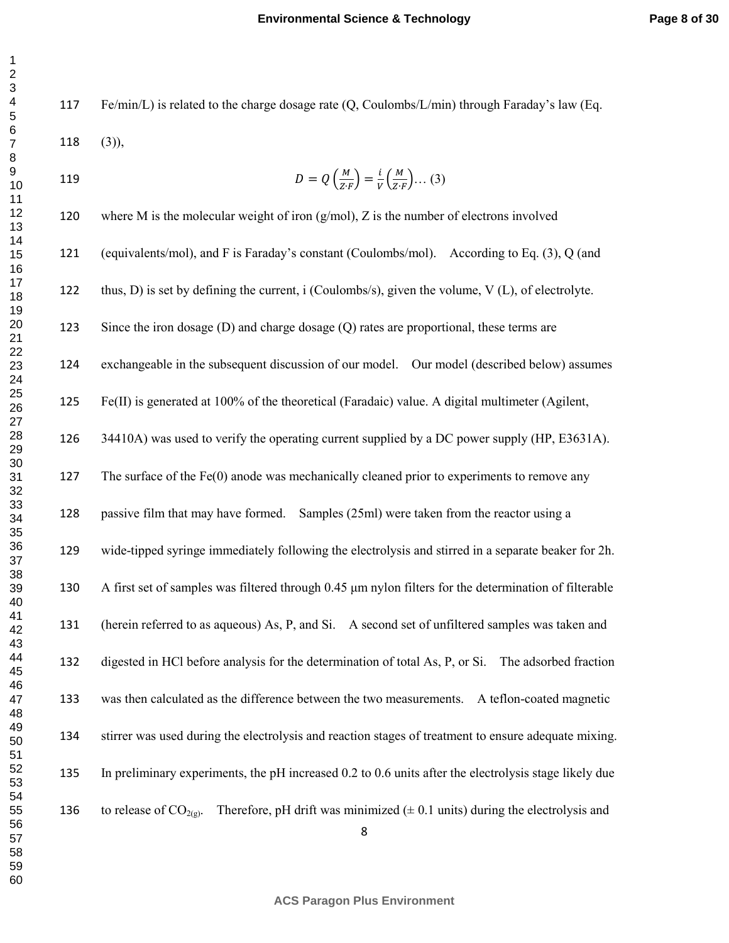Fe/min/L) is related to the charge dosage rate (Q, Coulombs/L/min) through Faraday's law (Eq. (3)),  $D = Q\left(\frac{M}{Z \cdot F}\right) = \frac{i}{V}\left(\frac{M}{Z \cdot I}\right)$ 119  $D = Q\left(\frac{m}{Z \cdot F}\right) = \frac{1}{V}\left(\frac{m}{Z \cdot F}\right) \dots (3)$ 

 where M is the molecular weight of iron (g/mol), Z is the number of electrons involved (equivalents/mol), and F is Faraday's constant (Coulombs/mol). According to Eq. (3), Q (and thus, D) is set by defining the current, i (Coulombs/s), given the volume, V (L), of electrolyte. 123 Since the iron dosage (D) and charge dosage (Q) rates are proportional, these terms are exchangeable in the subsequent discussion of our model. Our model (described below) assumes Fe(II) is generated at 100% of the theoretical (Faradaic) value. A digital multimeter (Agilent, 126 34410A) was used to verify the operating current supplied by a DC power supply (HP, E3631A). 127 The surface of the Fe(0) anode was mechanically cleaned prior to experiments to remove any passive film that may have formed. Samples (25ml) were taken from the reactor using a wide-tipped syringe immediately following the electrolysis and stirred in a separate beaker for 2h. A first set of samples was filtered through 0.45 µm nylon filters for the determination of filterable (herein referred to as aqueous) As, P, and Si. A second set of unfiltered samples was taken and digested in HCl before analysis for the determination of total As, P, or Si. The adsorbed fraction was then calculated as the difference between the two measurements. A teflon-coated magnetic stirrer was used during the electrolysis and reaction stages of treatment to ensure adequate mixing. In preliminary experiments, the pH increased 0.2 to 0.6 units after the electrolysis stage likely due 136 to release of  $CO_{2(g)}$ . Therefore, pH drift was minimized ( $\pm$  0.1 units) during the electrolysis and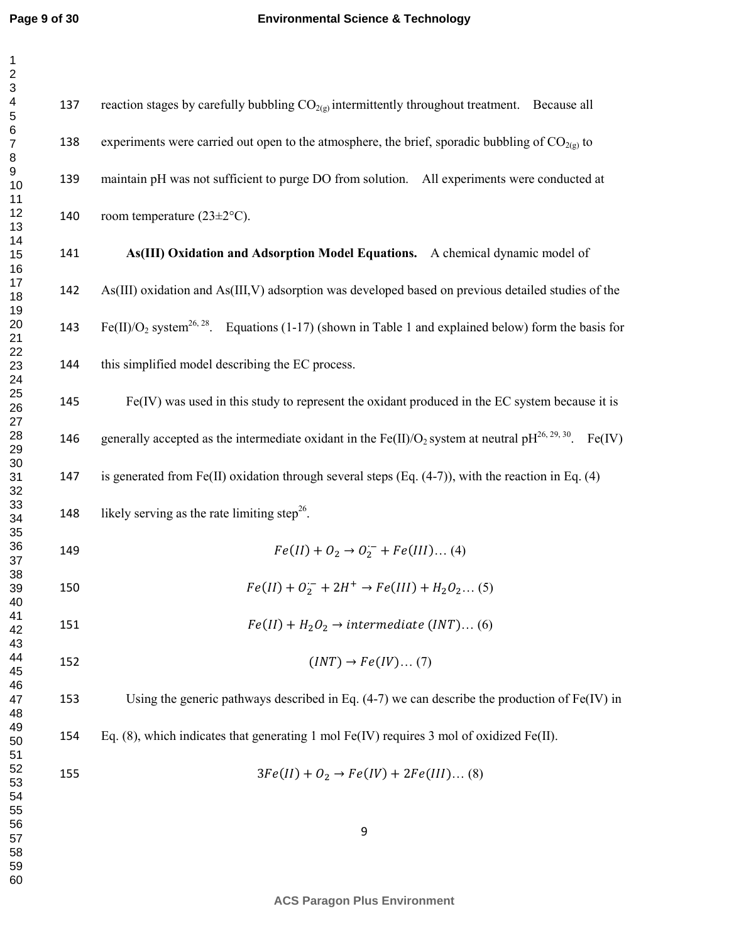137 reaction stages by carefully bubbling  $CO<sub>2(g)</sub>$  intermittently throughout treatment. Because all 138 experiments were carried out open to the atmosphere, the brief, sporadic bubbling of  $CO<sub>2(g)</sub>$  to maintain pH was not sufficient to purge DO from solution. All experiments were conducted at 140 room temperature  $(23 \pm 2^{\circ}C)$ . **As(III) Oxidation and Adsorption Model Equations.** A chemical dynamic model of As(III) oxidation and As(III,V) adsorption was developed based on previous detailed studies of the 143 Fe(II)/O<sub>2</sub> system<sup>26, 28</sup>. Equations (1-17) (shown in Table 1 and explained below) form the basis for this simplified model describing the EC process. Fe(IV) was used in this study to represent the oxidant produced in the EC system because it is 146 generally accepted as the intermediate oxidant in the Fe(II)/O<sub>2</sub> system at neutral pH<sup>26, 29, 30</sup>. Fe(IV) is generated from Fe(II) oxidation through several steps (Eq. (4-7)), with the reaction in Eq. (4) 148 likely serving as the rate limiting step<sup>26</sup>. 149  $Fe(II) + O_2 \rightarrow O_2^- + Fe(III)...(4)$ 150  $Fe(II) + O_2^- + 2H^+ \rightarrow Fe(III) + H_2O_2...$  (5) 151  $Fe$  $(II) + H_2O_2 \rightarrow intermediate (INT)...(6)$ 152  $(INT) \rightarrow Fe(IV)...(7)$ Using the generic pathways described in Eq. (4-7) we can describe the production of Fe(IV) in Eq. (8), which indicates that generating 1 mol Fe(IV) requires 3 mol of oxidized Fe(II). 155  $3Fe$  $(II) + O_2 \rightarrow Fe(IV) + 2Fe(III) ... (8)$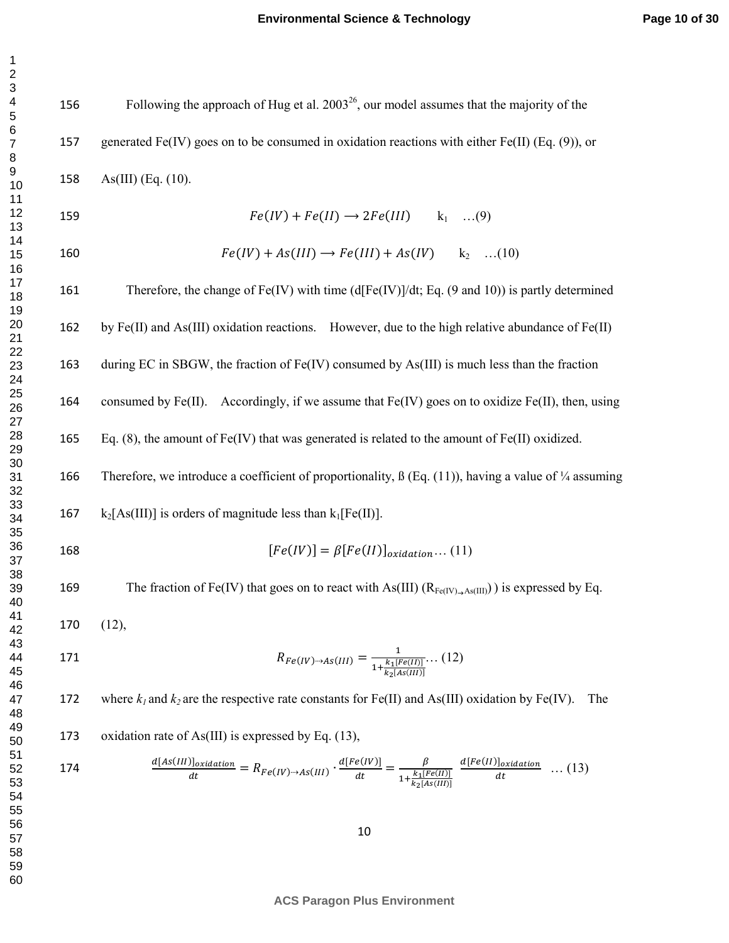156 Following the approach of Hug et al.  $2003^{26}$ , our model assumes that the majority of the 157 generated Fe(IV) goes on to be consumed in oxidation reactions with either Fe(II) (Eq. (9)), or As(III) (Eq. (10).

 $Fe$  $(IV) + Fe(II) \rightarrow 2Fe(III)$   $k_1$  ...(9)  $Fe$  $(IV) + As(III) \rightarrow Fe(III) + As(IV)$  k<sub>2</sub> ...(10)

Therefore, the change of Fe(IV) with time (d[Fe(IV)]/dt; Eq. (9 and 10)) is partly determined 162 by Fe(II) and As(III) oxidation reactions. However, due to the high relative abundance of Fe(II)

during EC in SBGW, the fraction of Fe(IV) consumed by As(III) is much less than the fraction

164 consumed by Fe(II). Accordingly, if we assume that  $Fe(IV)$  goes on to oxidize  $Fe(II)$ , then, using

Eq. (8), the amount of Fe(IV) that was generated is related to the amount of Fe(II) oxidized.

166 Therefore, we introduce a coefficient of proportionality,  $\beta$  (Eq. (11)), having a value of  $\frac{1}{4}$  assuming

- 167 k<sub>2</sub>[As(III)] is orders of magnitude less than  $k_1[Fe(II)]$ .
- 168  $[Fe(IV)] = \beta [Fe(II)]_{oxidation} ... (11)$

169 The fraction of Fe(IV) that goes on to react with As(III)  $(R_{Fe(IV)_\rightarrow As(III)})$  is expressed by Eq.

(12),

171 
$$
R_{Fe(IV)\rightarrow AS(III)} = \frac{1}{1 + \frac{k_1[Fe(II)]}{k_2[As(III)]}} \dots (12)
$$

172 where  $k_l$  and  $k_2$  are the respective rate constants for Fe(II) and As(III) oxidation by Fe(IV). The

oxidation rate of As(III) is expressed by Eq. (13),

174 
$$
\frac{d[As(III)]_{oxidation}}{dt} = R_{Fe(IV)\rightarrow As(III)} \cdot \frac{d[Fe(IV)]}{dt} = \frac{\beta}{1 + \frac{k_1[Fe(II)]}{k_2[As(III)]}} \frac{d[Fe(II)]_{oxidation}}{dt} \dots (13)
$$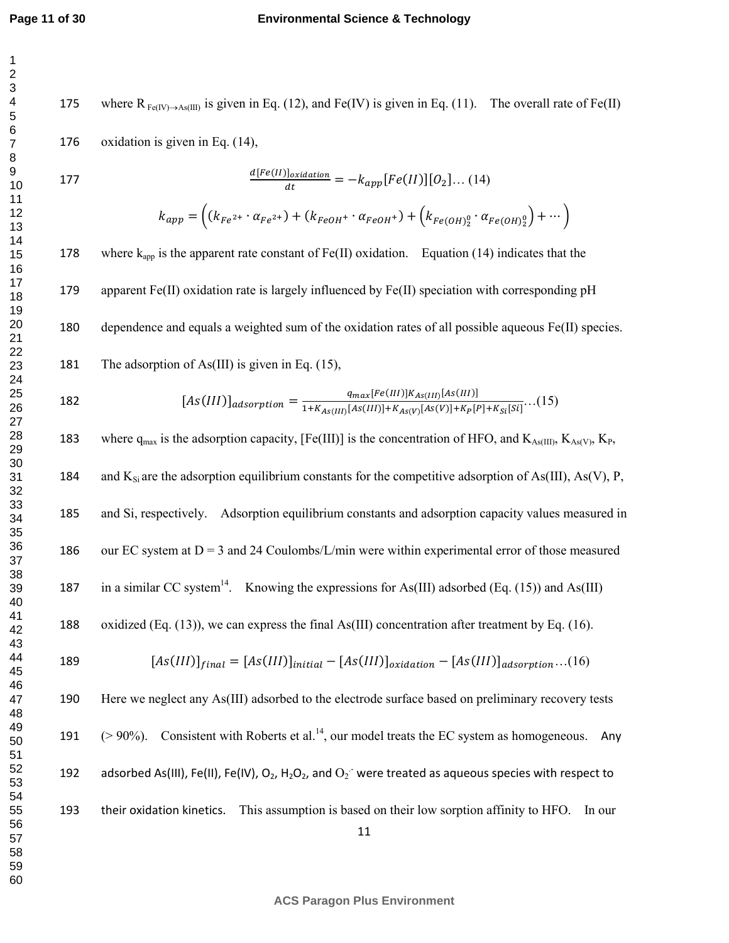## **Environmental Science & Technology**

175 where  $R_{Fe(IV)\to As(III)}$  is given in Eq. (12), and Fe(IV) is given in Eq. (11). The overall rate of Fe(II) oxidation is given in Eq. (14), d[Fe(II)]<sub>oxidation</sub> 177  $\frac{a_1 r e^{(1)} \int_{\text{Ox} \times \text{d} \cdot \text{d} \cdot \text{d} \cdot \text{d} \cdot \text{d} \cdot \text{d} \cdot \text{d} \cdot \text{d} \cdot \text{d} \cdot \text{d} \cdot \text{d} \cdot \text{d} \cdot \text{d} \cdot \text{d} \cdot \text{d} \cdot \text{d} \cdot \text{d} \cdot \text{d} \cdot \text{d} \cdot \text{d} \cdot \text{d} \cdot \text{d} \cdot \text{d} \cdot \text{d} \cdot \text{d} \cdot \text{d} \cdot \text{d} \cdot \text{d$  $k_{app} = ((k_{Fe^{2+}} \cdot \alpha_{Fe^{2+}}) + (k_{FeOH^{+}} \cdot \alpha_{FeOH^{+}}) + (k_{Fe(OH)2}^{0} \cdot \alpha_{Fe(OH)2}^{0}) + \cdots )$ 178 where  $k_{app}$  is the apparent rate constant of Fe(II) oxidation. Equation (14) indicates that the apparent Fe(II) oxidation rate is largely influenced by Fe(II) speciation with corresponding pH dependence and equals a weighted sum of the oxidation rates of all possible aqueous Fe(II) species. 181 The adsorption of As(III) is given in Eq.  $(15)$ , 182  $[As(III)]_{adsorption} = \frac{q_{max}[Fe(III)]K_{As(III)}[As(III)]}{1+K_{As(III)}[As(III)]+K_{As(V)}[As(V)]+K_{P}[P]+K_{Si}[Si]}...(15)$ 183 where  $q_{max}$  is the adsorption capacity, [Fe(III)] is the concentration of HFO, and  $K_{As(III)}$ ,  $K_{As(V)}$ ,  $K_{P}$ , 184 and  $K_{Si}$  are the adsorption equilibrium constants for the competitive adsorption of As(III), As(V), P, and Si, respectively. Adsorption equilibrium constants and adsorption capacity values measured in 186 our EC system at  $D = 3$  and 24 Coulombs/L/min were within experimental error of those measured 187 in a similar CC system<sup>14</sup>. Knowing the expressions for As(III) adsorbed (Eq. (15)) and As(III) oxidized (Eq. (13)), we can express the final As(III) concentration after treatment by Eq. (16). 189  $[As(III)]_{final} = [As(III)]_{initial} - [As(III)]_{oxidation} - [As(III)]_{adsorption}...(16)$ Here we neglect any As(III) adsorbed to the electrode surface based on preliminary recovery tests 191  $(>90\%)$ . Consistent with Roberts et al.<sup>14</sup>, our model treats the EC system as homogeneous. Any

192 adsorbed As(III), Fe(II), Fe(IV), O<sub>2</sub>, H<sub>2</sub>O<sub>2</sub>, and O<sub>2</sub><sup>-</sup> were treated as aqueous species with respect to

193 their oxidation kinetics. This assumption is based on their low sorption affinity to HFO. In our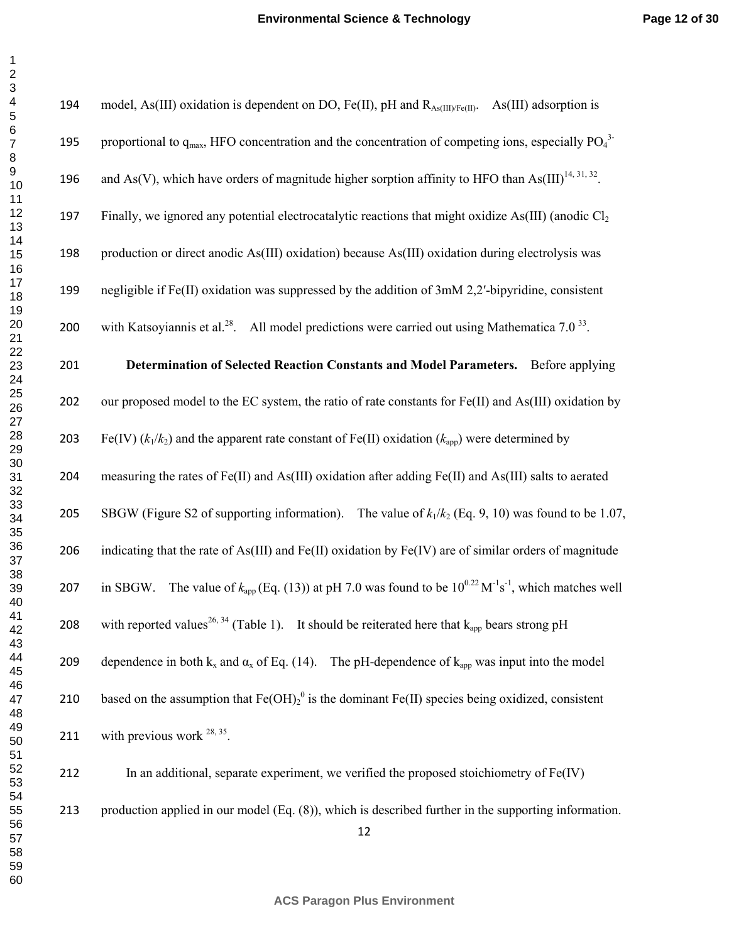| $\overline{ }$                        |
|---------------------------------------|
|                                       |
|                                       |
|                                       |
| $3456 -$                              |
|                                       |
|                                       |
|                                       |
|                                       |
|                                       |
|                                       |
|                                       |
|                                       |
|                                       |
|                                       |
|                                       |
|                                       |
|                                       |
|                                       |
|                                       |
|                                       |
| ) 78911111111112222222222333333333333 |
|                                       |
|                                       |
|                                       |
|                                       |
|                                       |
|                                       |
|                                       |
|                                       |
|                                       |
|                                       |
|                                       |
|                                       |
|                                       |
|                                       |
|                                       |
|                                       |
|                                       |
|                                       |
|                                       |
|                                       |
|                                       |
| 40                                    |
| 41                                    |
| 42                                    |
| 43                                    |
| 44                                    |
| 45                                    |
| 46                                    |
| 47                                    |
| 48                                    |
|                                       |
| 49                                    |
| 50                                    |
| 51                                    |
| 52                                    |
| 53<br>3                               |
| 54                                    |
| 55                                    |
|                                       |
| $\frac{56}{1}$                        |
| 57<br>58                              |
| 3                                     |
| 59                                    |
| 60                                    |

| 194 | model, As(III) oxidation is dependent on DO, Fe(II), pH and $R_{As(III)/Fe(II)}$ .<br>As(III) adsorption is                              |
|-----|------------------------------------------------------------------------------------------------------------------------------------------|
| 195 | proportional to $q_{\text{max}}$ , HFO concentration and the concentration of competing ions, especially $PQ_4^3$                        |
| 196 | and As(V), which have orders of magnitude higher sorption affinity to HFO than As(III) <sup>14, 31, 32</sup> .                           |
| 197 | Finally, we ignored any potential electrocatalytic reactions that might oxidize As(III) (anodic $Cl_2$ )                                 |
| 198 | production or direct anodic As(III) oxidation) because As(III) oxidation during electrolysis was                                         |
| 199 | negligible if Fe(II) oxidation was suppressed by the addition of 3mM 2,2'-bipyridine, consistent                                         |
| 200 | with Katsoyiannis et al. <sup>28</sup> . All model predictions were carried out using Mathematica 7.0 <sup>33</sup> .                    |
| 201 | Determination of Selected Reaction Constants and Model Parameters. Before applying                                                       |
| 202 | our proposed model to the EC system, the ratio of rate constants for Fe(II) and As(III) oxidation by                                     |
| 203 | Fe(IV) $(k_1/k_2)$ and the apparent rate constant of Fe(II) oxidation $(k_{\text{app}})$ were determined by                              |
| 204 | measuring the rates of Fe(II) and As(III) oxidation after adding Fe(II) and As(III) salts to aerated                                     |
| 205 | SBGW (Figure S2 of supporting information). The value of $k_1/k_2$ (Eq. 9, 10) was found to be 1.07,                                     |
| 206 | indicating that the rate of As(III) and Fe(II) oxidation by Fe(IV) are of similar orders of magnitude                                    |
| 207 | The value of $k_{app}$ (Eq. (13)) at pH 7.0 was found to be $10^{0.22}$ M <sup>-1</sup> s <sup>-1</sup> , which matches well<br>in SBGW. |
| 208 | with reported values <sup>26, 34</sup> (Table 1). It should be reiterated here that $k_{app}$ bears strong pH                            |
| 209 | dependence in both $k_x$ and $\alpha_x$ of Eq. (14). The pH-dependence of $k_{app}$ was input into the model                             |
| 210 | based on the assumption that $Fe(OH)_2^0$ is the dominant $Fe(II)$ species being oxidized, consistent                                    |
| 211 | with previous work $^{28, 35}$ .                                                                                                         |
| 212 | In an additional, separate experiment, we verified the proposed stoichiometry of $Fe(IV)$                                                |
| 213 | production applied in our model $(Eq. (8))$ , which is described further in the supporting information.                                  |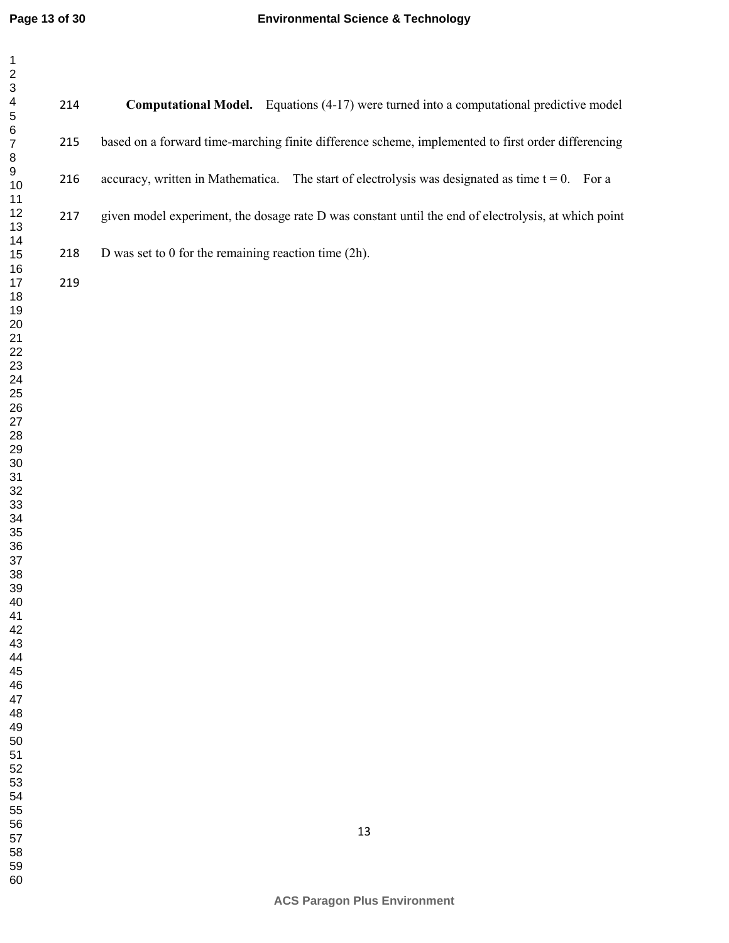**Computational Model.** Equations (4-17) were turned into a computational predictive model based on a forward time-marching finite difference scheme, implemented to first order differencing 216 accuracy, written in Mathematica. The start of electrolysis was designated as time  $t = 0$ . For a given model experiment, the dosage rate D was constant until the end of electrolysis, at which point 218 D was set to 0 for the remaining reaction time (2h).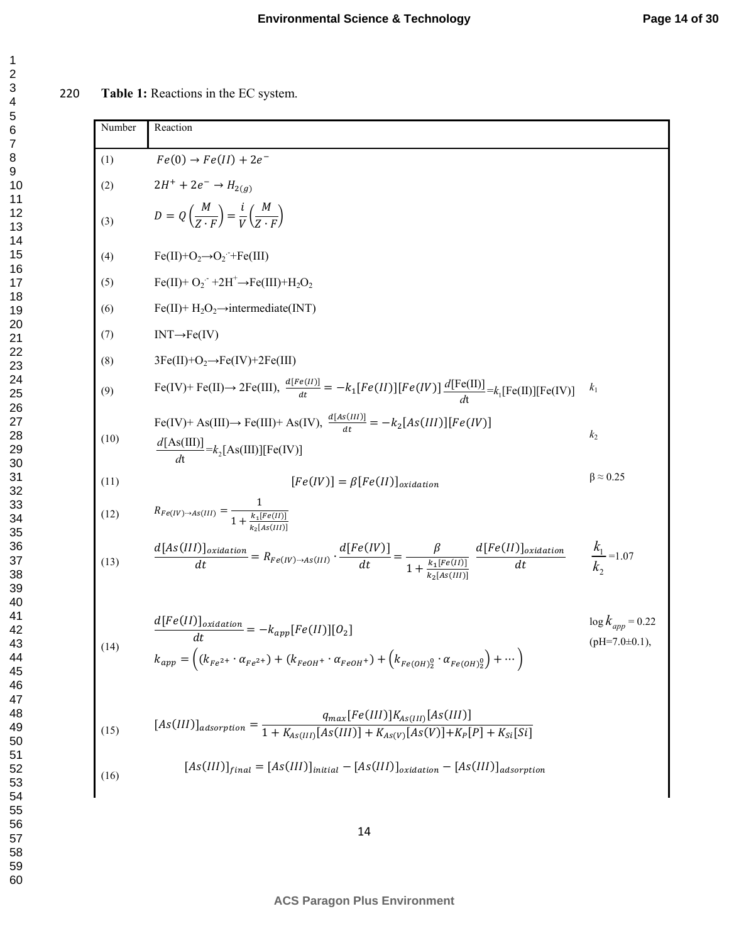220 **Table 1:** Reactions in the EC system.

Number Reaction (1)  $Fe(0) \rightarrow Fe(II) + 2e^-$ (2)  $2H^+ + 2e^- \rightarrow H_{2(g)}$ (3)  $D = Q\left(\frac{M}{Z}\right)$  $\left(\frac{M}{Z\cdot F}\right) = \frac{i}{V}$  $\frac{i}{V} \left( \frac{M}{Z} \right)$  $\overline{Z \cdot F}$ (4)  $Fe(II)+O_2 \rightarrow O_2$  + Fe(III) (5)  $Fe(II) + O_2 + 2H^+ \rightarrow Fe(III) + H_2O_2$ (6) Fe(II)+  $H_2O_2 \rightarrow$ intermediate(INT)  $(7)$  INT $\rightarrow$ Fe(IV) (8)  $3Fe(II)+O_2 \rightarrow Fe(IV)+2Fe(III)$ (9)  $\text{Fe}(IV) + \text{Fe}(II) \rightarrow 2\text{Fe}(III), \frac{d[Fe(II)]}{dt} = -k_1[Fe(II)][Fe(IV)]\frac{d[\text{Fe}(II)]}{dt} = k_1[\text{Fe}(II)][Fe(IV)]$ (10)  $\text{Fe}(IV)$ + As(III) $\rightarrow$  Fe(III)+ As(IV),  $\frac{d[As(III)]}{dt} = -k_2[As(III)][Fe(IV)]$  $k<sub>2</sub>$ (11)  $[Fe$  $(IV)$ ] =  $\beta$ [Fe(II)]<sub>oxidation</sub>  $\beta \approx 0.25$ (12)  $R_{Fe(IV)\to As(III)} = \frac{1}{1 + \frac{k_1}{5}}$  $1 + \frac{k_1[Fe(II)]}{k_1[Fe(III)]}$  $k_2[As(III)]$ (13)  $d[As(III)]_{oxidation}$  $\frac{d[Fe(IV)]}{dt} = R_{Fe(IV)\rightarrow As(III)} \cdot \frac{d[Fe(IV)]}{dt}$  $\frac{e(IV)}{dt} = \frac{\beta}{1 + \frac{k_1 [t]}{k_2}}$  $1 + \frac{k_1 [Fe(II)]}{k_2 [4s(III)]}$  $k_2[As(III)]$  $d[Fe (II)]_{oxidation}$  $dt$ =1.07 (14)  $\frac{d[Fe(II)]_{oxidation}}{dt} = -k_{app}[Fe(II)][O_2]$  $k_{app} = ((k_{Fe^{2+}} \cdot \alpha_{Fe^{2+}}) + (k_{FeOH^{+}} \cdot \alpha_{FeOH^{+}}) + (k_{Fe(OH)2}^{0} \cdot \alpha_{Fe(OH)2}^{0}) + \cdots)$  $\log k_{app} = 0.22$  $(pH=7.0\pm0.1)$ , (15)  $[As(III)]_{adsorption} = \frac{q_{max}[Fe(III)]K_{As(III)}[As(III)]}{1 + K_{AS(III)}[As(III)] + K_{AS(IV)}[As(V)] + K_{B}[\frac{1}{2}]}$  $1 + K_{As(III)}[As(III)] + K_{As(V)}[As(V)] + K_{P}[P] + K_{Si}[Si]$ (16)  $[As(III)]_{final}=[As(III)]_{initial}-[As(III)]_{oxidation}-[As(III)]_{adsorption}$  $\frac{d[Fe(II)]}{dt} = k$  $\frac{[As(III)]}{dt} = k_2[As(III)][Fe(IV)]$  $\frac{d[\text{As(III)}]}{dt} = k$ 2  $k_{1}$ *k*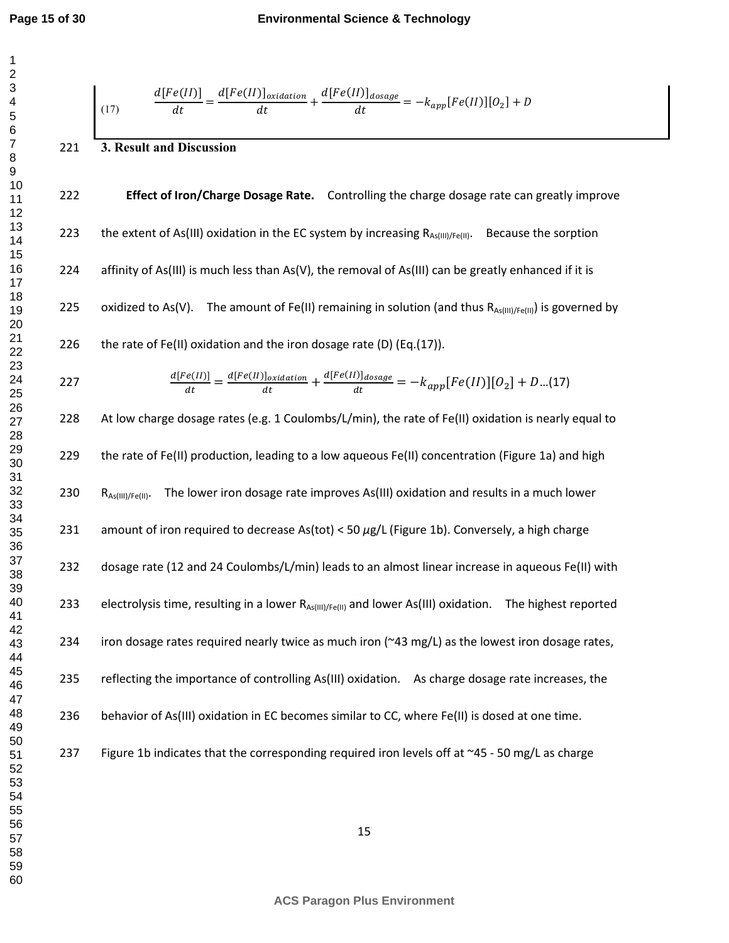$$
\frac{d[Fe(I)]}{dt} = \frac{d[Fe(I)]_{\text{oxidation}}}{dt} + \frac{d[Fe(I)]_{\text{doseage}}}{dt} = -k_{app}[Fe(I)][0_2] + D
$$
\n221  
\n222 Effect of Iron/Change Dosege Rate. Controlling the charge dosage rate can greatly improve  
\n223 the extent of As(III) oxidation in the EC system by increasing R<sub>As[III/IF]</sub>. Because the sorption  
\n224 identity of As(III) is much less than As(V), the removal of As(III) can be greatly enhanced if it is  
\n225 oxidized to As(V). The amount of Fe(II) remaining in solution (and thus R<sub>As[III/IF]</sub>) is governed by  
\n226 the rate of Fe(II) oxidation and the iron dosage rate (D) (Eq.(17)).  
\n227 
$$
\frac{d[Fe(I)]_{\text{datticeatom}}}{dt} = \frac{d[Fe(I)]_{\text{datticeatom}}}{dt} + \frac{d[Fe(I)]_{\text{doseage}}}{dt} = -k_{app}[Fe(I)][0_2] + D...(17)
$$
\n228 At low charge dosage rates (e.g. 1 Coulombs/L/min), the rate of Fe(II) oxidation is nearly equal to  
\n229 the rate of Fe(II) production, leading to a low aqueous Fe(II) concentration (Figure 1a) and high  
\n230 R<sub>A,qim[Fe,II]</sub>. The lower iron dosage rate improves As(III) oxidation and results in a much lower  
\n231 amount of iron required to decrease As(tot) & 50 µg/L (Figure 1b). Conversely, a high charge  
\n232 dosage rate (12 and 24 Coulombs/L/min) leads to an almost linear increase in aqueous Fe(II) with  
\n233 electrolysis time, resulting in a lower R<sub>A,qim[IF]</sub>, and lower As(III) oxidation. The highest reported  
\n234 iron dosage rates required nearly twice as much iron (~43 mg/L) as the lowest iron dosage rates,  
\n235 reflecting the importance of controlling As(III) oxidation. As charge dosage rate increases, the  
\n236 behavior of As(III) oxidation in EC becomes similar to CC, where Fe(II) is doseed at one time.  
\n237 Figure 1b indicates that the corresponding required iron levels off at ~45 - 50 mg/L as charge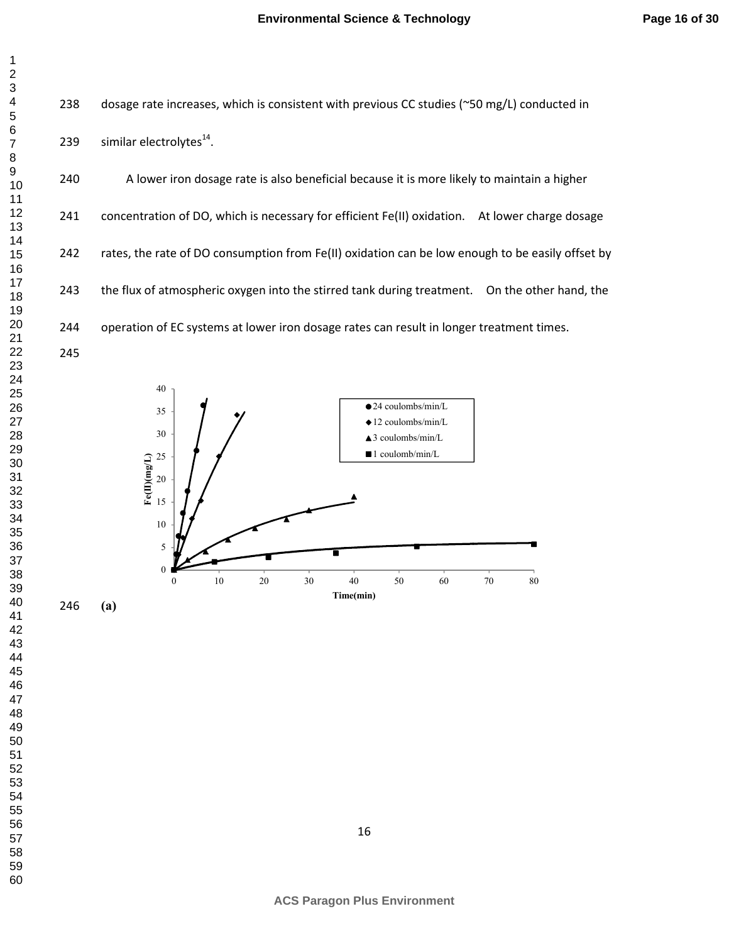238 dosage rate increases, which is consistent with previous CC studies (~50 mg/L) conducted in

239 similar electrolytes $^{14}$ .

240 A lower iron dosage rate is also beneficial because it is more likely to maintain a higher 241 concentration of DO, which is necessary for efficient Fe(II) oxidation. At lower charge dosage 242 rates, the rate of DO consumption from Fe(II) oxidation can be low enough to be easily offset by 243 the flux of atmospheric oxygen into the stirred tank during treatment. On the other hand, the 244 operation of EC systems at lower iron dosage rates can result in longer treatment times. 



**(a)**

- 
- 
- 
- 
- 
-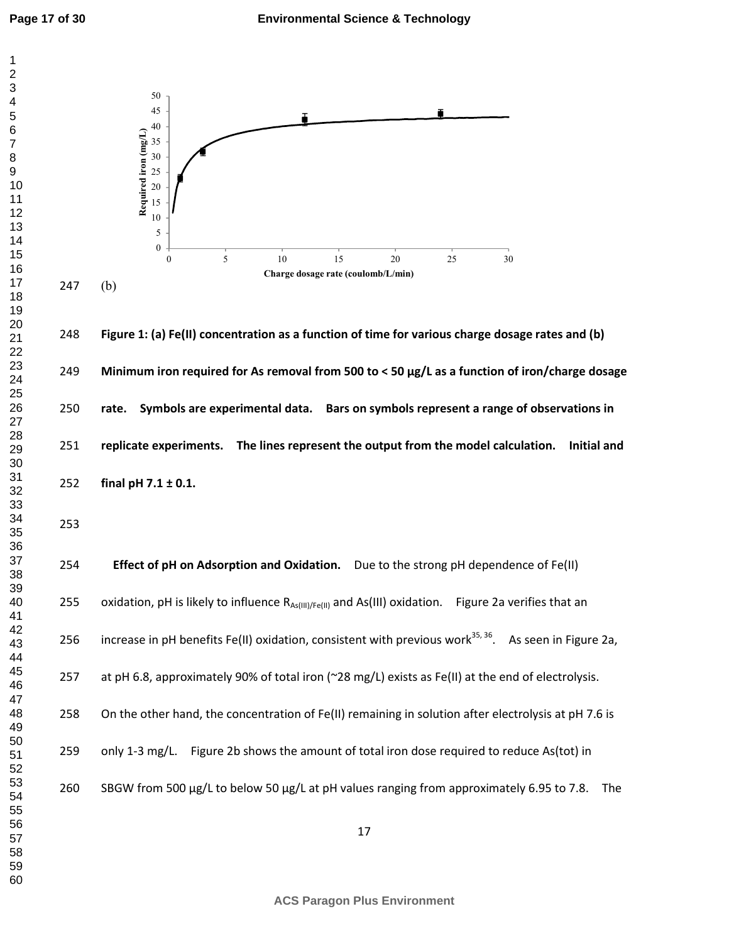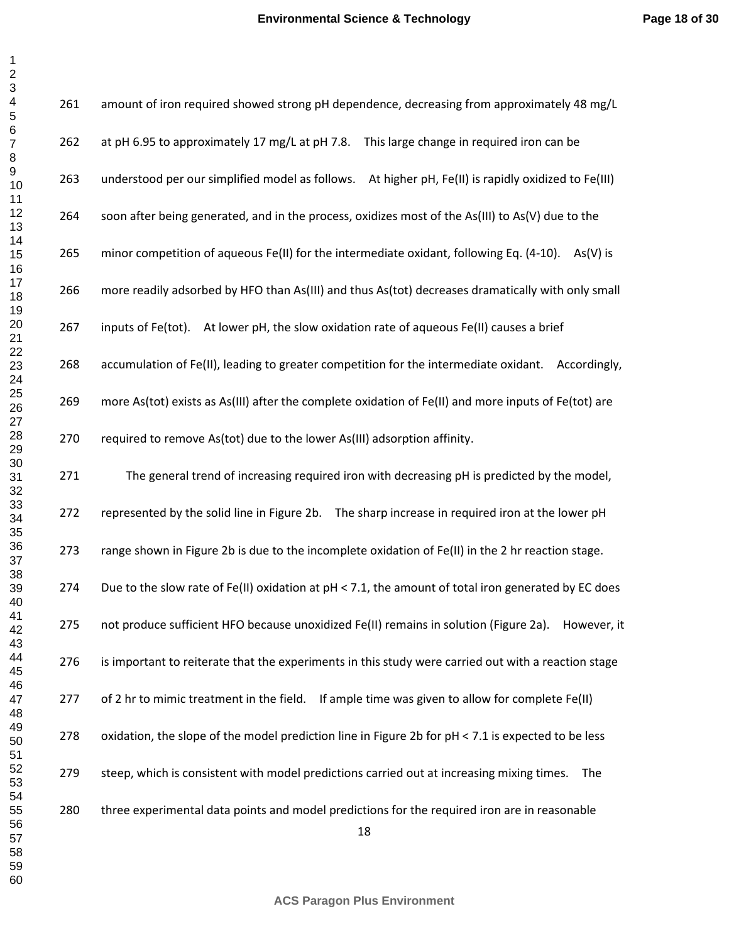| 1                    |
|----------------------|
|                      |
|                      |
|                      |
|                      |
|                      |
|                      |
|                      |
|                      |
|                      |
|                      |
|                      |
|                      |
|                      |
|                      |
|                      |
|                      |
|                      |
|                      |
|                      |
|                      |
|                      |
|                      |
|                      |
|                      |
|                      |
|                      |
|                      |
|                      |
|                      |
|                      |
|                      |
|                      |
|                      |
|                      |
|                      |
|                      |
|                      |
|                      |
| 39                   |
| 40                   |
| 41                   |
| 42                   |
| 43                   |
| 44                   |
| 45                   |
| 46                   |
| 47                   |
| 48                   |
| 49                   |
| 50                   |
| 51                   |
| 52<br>$\overline{ }$ |
| 53<br>3              |
|                      |
| 54<br>55             |
|                      |
| 56<br>57             |
| $\frac{1}{58}$       |
| 3                    |
| 59                   |
| 60                   |

| 261 | amount of iron required showed strong pH dependence, decreasing from approximately 48 mg/L            |
|-----|-------------------------------------------------------------------------------------------------------|
| 262 | at pH 6.95 to approximately 17 mg/L at pH 7.8. This large change in required iron can be              |
| 263 | understood per our simplified model as follows. At higher pH, Fe(II) is rapidly oxidized to Fe(III)   |
| 264 | soon after being generated, and in the process, oxidizes most of the As(III) to As(V) due to the      |
| 265 | minor competition of aqueous Fe(II) for the intermediate oxidant, following Eq. (4-10).<br>$As(V)$ is |
| 266 | more readily adsorbed by HFO than As(III) and thus As(tot) decreases dramatically with only small     |
| 267 | inputs of Fe(tot).<br>At lower pH, the slow oxidation rate of aqueous Fe(II) causes a brief           |
| 268 | accumulation of Fe(II), leading to greater competition for the intermediate oxidant.<br>Accordingly,  |
| 269 | more As(tot) exists as As(III) after the complete oxidation of Fe(II) and more inputs of Fe(tot) are  |
| 270 | required to remove As(tot) due to the lower As(III) adsorption affinity.                              |
| 271 | The general trend of increasing required iron with decreasing pH is predicted by the model,           |
| 272 | represented by the solid line in Figure 2b. The sharp increase in required iron at the lower pH       |
| 273 | range shown in Figure 2b is due to the incomplete oxidation of Fe(II) in the 2 hr reaction stage.     |
| 274 | Due to the slow rate of Fe(II) oxidation at pH < 7.1, the amount of total iron generated by EC does   |
| 275 | not produce sufficient HFO because unoxidized Fe(II) remains in solution (Figure 2a). However, it     |
| 276 | is important to reiterate that the experiments in this study were carried out with a reaction stage   |
| 277 | of 2 hr to mimic treatment in the field.<br>If ample time was given to allow for complete Fe(II)      |
| 278 | oxidation, the slope of the model prediction line in Figure 2b for pH < 7.1 is expected to be less    |
| 279 | steep, which is consistent with model predictions carried out at increasing mixing times.<br>The      |
| 280 | three experimental data points and model predictions for the required iron are in reasonable<br>18    |

**ACS Paragon Plus Environment**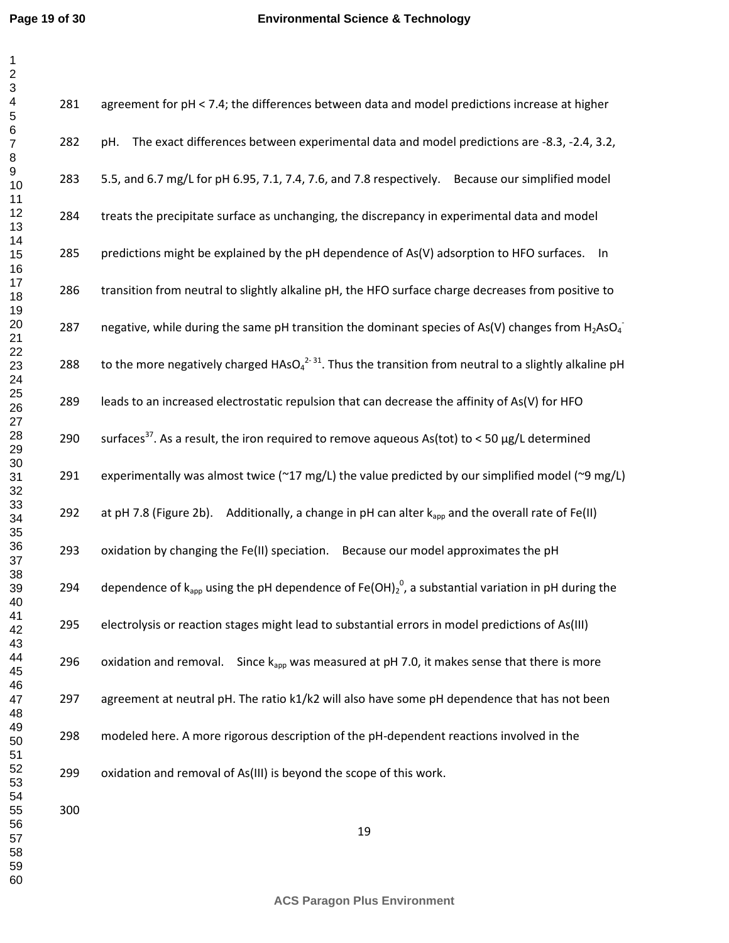| 281 | agreement for pH < 7.4; the differences between data and model predictions increase at higher                                 |
|-----|-------------------------------------------------------------------------------------------------------------------------------|
| 282 | The exact differences between experimental data and model predictions are -8.3, -2.4, 3.2,<br>pH.                             |
| 283 | 5.5, and 6.7 mg/L for pH 6.95, 7.1, 7.4, 7.6, and 7.8 respectively. Because our simplified model                              |
| 284 | treats the precipitate surface as unchanging, the discrepancy in experimental data and model                                  |
| 285 | predictions might be explained by the pH dependence of As(V) adsorption to HFO surfaces.<br>In                                |
| 286 | transition from neutral to slightly alkaline pH, the HFO surface charge decreases from positive to                            |
| 287 | negative, while during the same pH transition the dominant species of As(V) changes from H <sub>2</sub> AsO <sub>4</sub>      |
| 288 | to the more negatively charged HAsO <sub>4</sub> <sup>2-31</sup> . Thus the transition from neutral to a slightly alkaline pH |
| 289 | leads to an increased electrostatic repulsion that can decrease the affinity of As(V) for HFO                                 |
| 290 | surfaces <sup>37</sup> . As a result, the iron required to remove aqueous As(tot) to < 50 µg/L determined                     |
| 291 | experimentally was almost twice (~17 mg/L) the value predicted by our simplified model (~9 mg/L)                              |
| 292 | at pH 7.8 (Figure 2b). Additionally, a change in pH can alter $k_{app}$ and the overall rate of Fe(II)                        |
| 293 | oxidation by changing the Fe(II) speciation. Because our model approximates the pH                                            |
| 294 | dependence of $k_{app}$ using the pH dependence of Fe(OH) $_2^0$ , a substantial variation in pH during the                   |
| 295 | electrolysis or reaction stages might lead to substantial errors in model predictions of As(III)                              |
| 296 | Since $k_{app}$ was measured at pH 7.0, it makes sense that there is more<br>oxidation and removal.                           |
| 297 | agreement at neutral pH. The ratio k1/k2 will also have some pH dependence that has not been                                  |
| 298 | modeled here. A more rigorous description of the pH-dependent reactions involved in the                                       |
| 299 | oxidation and removal of As(III) is beyond the scope of this work.                                                            |
| 300 |                                                                                                                               |

**ACS Paragon Plus Environment**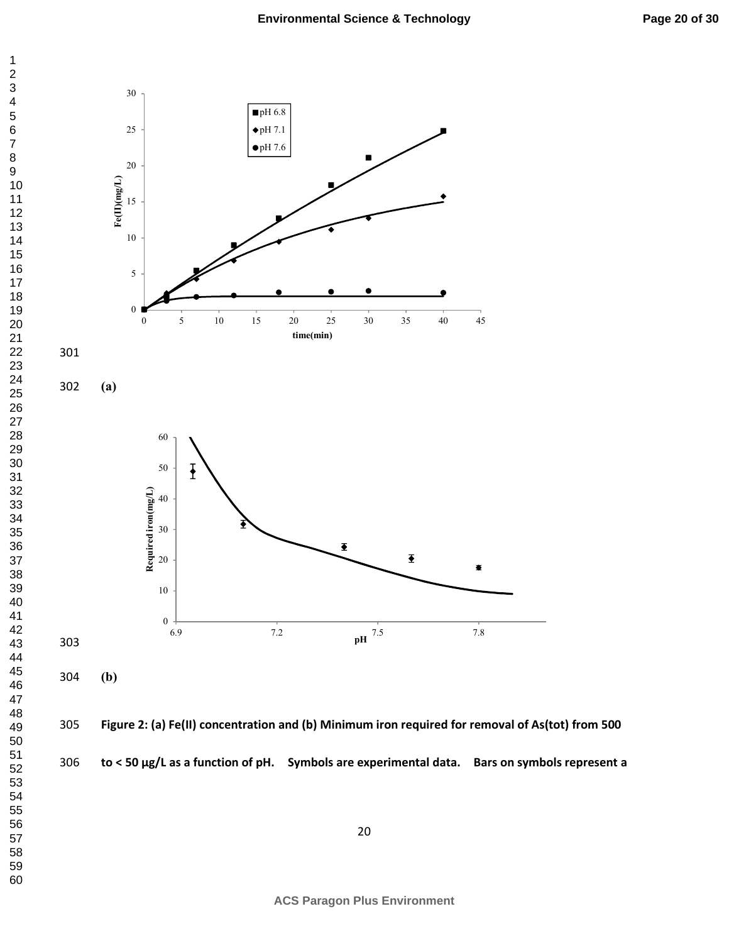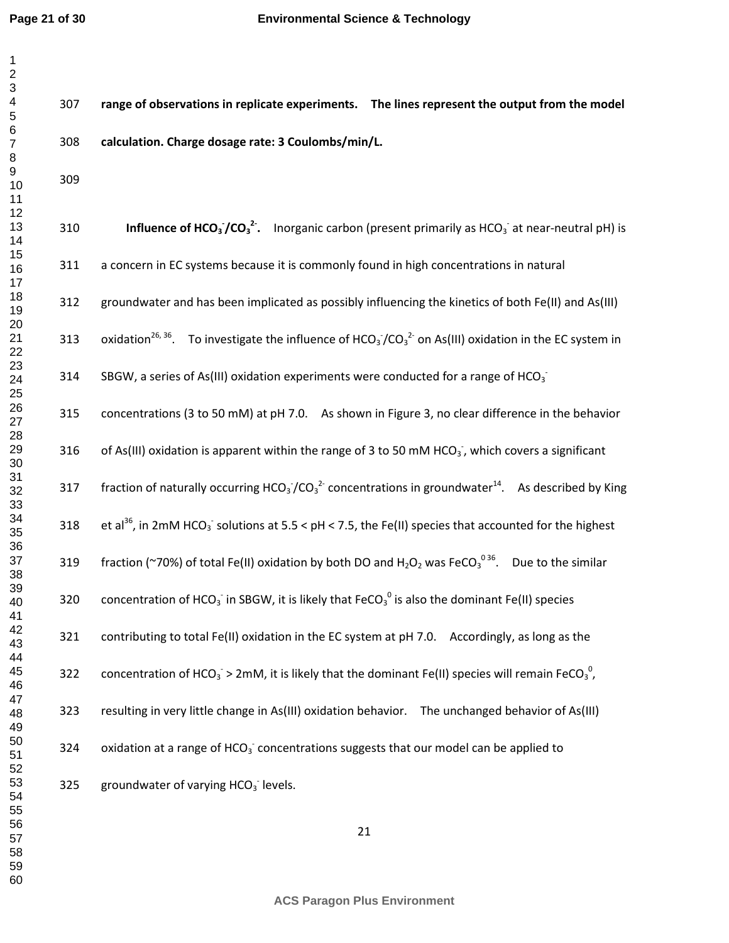307 **range of observations in replicate experiments. The lines represent the output from the model** 

| 1                                               |
|-------------------------------------------------|
|                                                 |
|                                                 |
|                                                 |
|                                                 |
|                                                 |
|                                                 |
|                                                 |
|                                                 |
|                                                 |
|                                                 |
|                                                 |
|                                                 |
|                                                 |
|                                                 |
|                                                 |
|                                                 |
|                                                 |
| - 3 4 5 6 7 8 9 10 11 12 13 14 15 16 17 18 19 1 |
|                                                 |
|                                                 |
|                                                 |
|                                                 |
|                                                 |
|                                                 |
|                                                 |
|                                                 |
|                                                 |
|                                                 |
|                                                 |
|                                                 |
|                                                 |
|                                                 |
|                                                 |
|                                                 |
|                                                 |
|                                                 |
|                                                 |
|                                                 |
|                                                 |
| 38                                              |
| 39                                              |
| 40                                              |
| 41                                              |
| <sup>2</sup>                                    |
| 43                                              |
| 44                                              |
| 45                                              |
| 46                                              |
| 47                                              |
| 48                                              |
| 49                                              |
| 50                                              |
| 51                                              |
| 52                                              |
|                                                 |
| 53                                              |
| 54                                              |
| 55                                              |
| 56                                              |
| 57                                              |
| 58                                              |
| 59                                              |
| 60                                              |

| 308 | calculation. Charge dosage rate: 3 Coulombs/min/L.                                                                                                              |
|-----|-----------------------------------------------------------------------------------------------------------------------------------------------------------------|
| 309 |                                                                                                                                                                 |
| 310 | <b>Influence of HCO<sub>3</sub></b> /CO <sub>3</sub> <sup>2</sup> . Inorganic carbon (present primarily as HCO <sub>3</sub> <sup>-</sup> at near-neutral pH) is |
| 311 | a concern in EC systems because it is commonly found in high concentrations in natural                                                                          |
| 312 | groundwater and has been implicated as possibly influencing the kinetics of both Fe(II) and As(III)                                                             |
| 313 | oxidation <sup>26, 36</sup> . To investigate the influence of HCO <sub>3</sub> /CO <sub>3</sub> <sup>2</sup> on As(III) oxidation in the EC system in           |
| 314 | SBGW, a series of As(III) oxidation experiments were conducted for a range of HCO <sub>3</sub>                                                                  |
| 315 | concentrations (3 to 50 mM) at pH 7.0. As shown in Figure 3, no clear difference in the behavior                                                                |
| 316 | of As(III) oxidation is apparent within the range of 3 to 50 mM HCO <sub>3</sub> , which covers a significant                                                   |
| 317 | fraction of naturally occurring HCO <sub>3</sub> /CO <sub>3</sub> <sup>2</sup> concentrations in groundwater <sup>14</sup> . As described by King               |
| 318 | et al <sup>36</sup> , in 2mM HCO <sub>3</sub> solutions at 5.5 < pH < 7.5, the Fe(II) species that accounted for the highest                                    |
| 319 | fraction (~70%) of total Fe(II) oxidation by both DO and $H_2O_2$ was FeCO <sub>3</sub> <sup>036</sup> . Due to the similar                                     |
| 320 | concentration of HCO <sub>3</sub> in SBGW, it is likely that FeCO <sub>3</sub> <sup>0</sup> is also the dominant Fe(II) species                                 |
| 321 | contributing to total Fe(II) oxidation in the EC system at pH 7.0. Accordingly, as long as the                                                                  |
| 322 | concentration of HCO <sub>3</sub> > 2mM, it is likely that the dominant Fe(II) species will remain FeCO <sub>3</sub> <sup>0</sup> ,                             |
| 323 | resulting in very little change in As(III) oxidation behavior. The unchanged behavior of As(III)                                                                |
| 324 | oxidation at a range of HCO <sub>3</sub> concentrations suggests that our model can be applied to                                                               |
| 325 | groundwater of varying $HCO3$ levels.                                                                                                                           |
|     |                                                                                                                                                                 |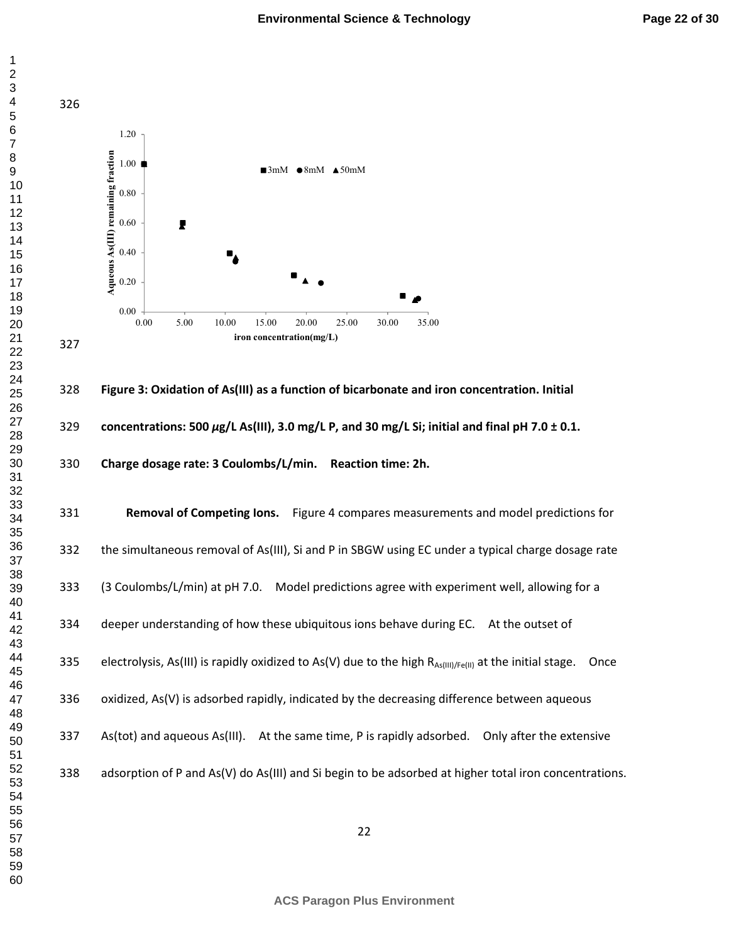

**Figure 3: Oxidation of As(III) as a function of bicarbonate and iron concentration. Initial concentrations: 500** *µ***g/L As(III), 3.0 mg/L P, and 30 mg/L Si; initial and final pH 7.0 ± 0.1. Charge dosage rate: 3 Coulombs/L/min. Reaction time: 2h.**

**Removal of Competing Ions.** Figure 4 compares measurements and model predictions for 332 the simultaneous removal of As(III), Si and P in SBGW using EC under a typical charge dosage rate 333 (3 Coulombs/L/min) at pH 7.0. Model predictions agree with experiment well, allowing for a 334 deeper understanding of how these ubiquitous ions behave during EC. At the outset of 335 electrolysis, As(III) is rapidly oxidized to As(V) due to the high  $R_{As(III)/Fe(II)}$  at the initial stage. Once 336 oxidized, As(V) is adsorbed rapidly, indicated by the decreasing difference between aqueous 337 As(tot) and aqueous As(III). At the same time, P is rapidly adsorbed. Only after the extensive 338 adsorption of P and As(V) do As(III) and Si begin to be adsorbed at higher total iron concentrations.

**ACS Paragon Plus Environment**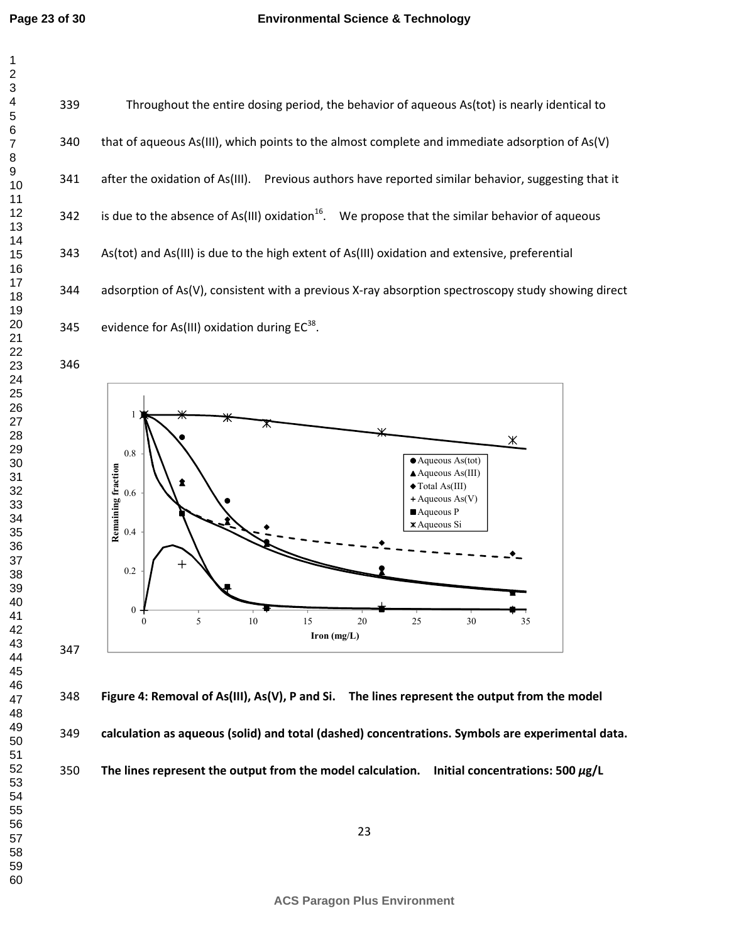339 Throughout the entire dosing period, the behavior of aqueous As(tot) is nearly identical to 340 that of aqueous As(III), which points to the almost complete and immediate adsorption of As(V) 341 after the oxidation of As(III). Previous authors have reported similar behavior, suggesting that it 342 is due to the absence of As(III) oxidation<sup>16</sup>. We propose that the similar behavior of aqueous 343 As(tot) and As(III) is due to the high extent of As(III) oxidation and extensive, preferential 344 adsorption of As(V), consistent with a previous X-ray absorption spectroscopy study showing direct 345 evidence for As(III) oxidation during  $EC^{38}$ .



**Figure 4: Removal of As(III), As(V), P and Si. The lines represent the output from the model** 

**calculation as aqueous (solid) and total (dashed) concentrations. Symbols are experimental data.** 

**The lines represent the output from the model calculation. Initial concentrations: 500** *µ***g/L**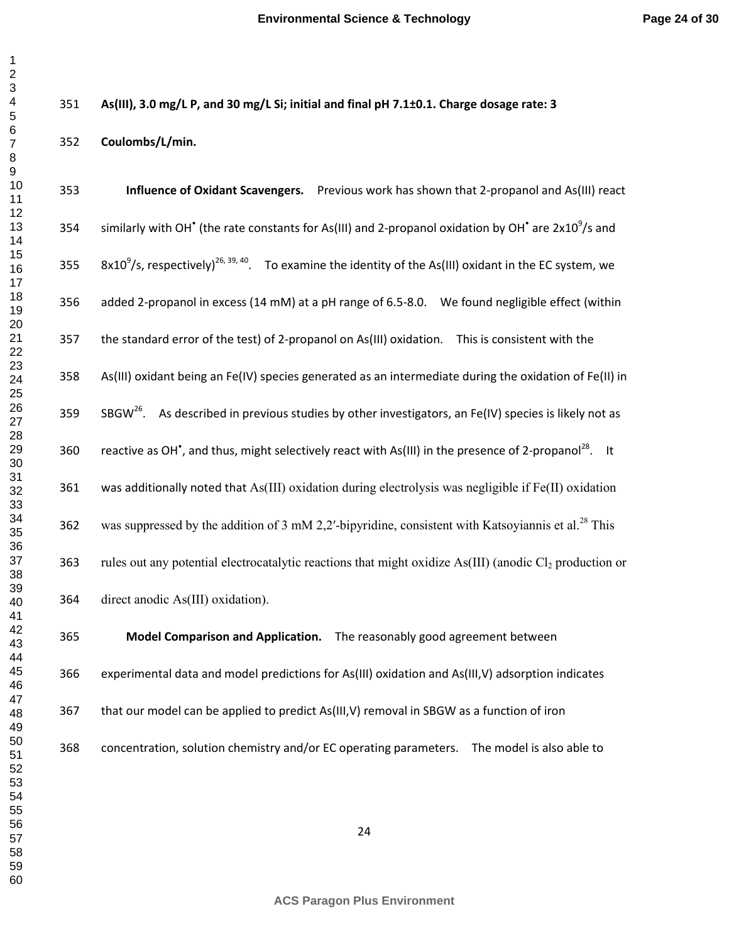**As(III), 3.0 mg/L P, and 30 mg/L Si; initial and final pH 7.1±0.1. Charge dosage rate: 3** 

**Coulombs/L/min.** 

| 353 |                |                                                                                                   | Influence of Oxidant Scavengers. Previous work has shown that 2-propanol and As(III) react                                                                    |
|-----|----------------|---------------------------------------------------------------------------------------------------|---------------------------------------------------------------------------------------------------------------------------------------------------------------|
| 354 |                |                                                                                                   | similarly with OH <sup><math>^{\bullet}</math></sup> (the rate constants for As(III) and 2-propanol oxidation by OH $^{\bullet}$ are 2x10 <sup>9</sup> /s and |
| 355 |                |                                                                                                   | $8x10^9$ /s, respectively) <sup>26, 39, 40</sup> . To examine the identity of the As(III) oxidant in the EC system, we                                        |
| 356 |                |                                                                                                   | added 2-propanol in excess (14 mM) at a pH range of 6.5-8.0. We found negligible effect (within                                                               |
| 357 |                | the standard error of the test) of 2-propanol on As(III) oxidation. This is consistent with the   |                                                                                                                                                               |
| 358 |                |                                                                                                   | As(III) oxidant being an Fe(IV) species generated as an intermediate during the oxidation of Fe(II) in                                                        |
| 359 | SBG $W^{26}$ . |                                                                                                   | As described in previous studies by other investigators, an Fe(IV) species is likely not as                                                                   |
| 360 |                |                                                                                                   | reactive as OH <sup><math>\degree</math></sup> , and thus, might selectively react with As(III) in the presence of 2-propanol <sup>28</sup> . It              |
| 361 |                |                                                                                                   | was additionally noted that As(III) oxidation during electrolysis was negligible if Fe(II) oxidation                                                          |
| 362 |                |                                                                                                   | was suppressed by the addition of 3 mM 2,2'-bipyridine, consistent with Katsoyiannis et al. <sup>28</sup> This                                                |
| 363 |                |                                                                                                   | rules out any potential electrocatalytic reactions that might oxidize As(III) (anodic Cl <sub>2</sub> production or                                           |
| 364 |                | direct anodic As(III) oxidation).                                                                 |                                                                                                                                                               |
| 365 |                | Model Comparison and Application. The reasonably good agreement between                           |                                                                                                                                                               |
| 366 |                | experimental data and model predictions for As(III) oxidation and As(III, V) adsorption indicates |                                                                                                                                                               |
| 367 |                | that our model can be applied to predict As(III, V) removal in SBGW as a function of iron         |                                                                                                                                                               |
| 368 |                | concentration, solution chemistry and/or EC operating parameters.                                 | The model is also able to                                                                                                                                     |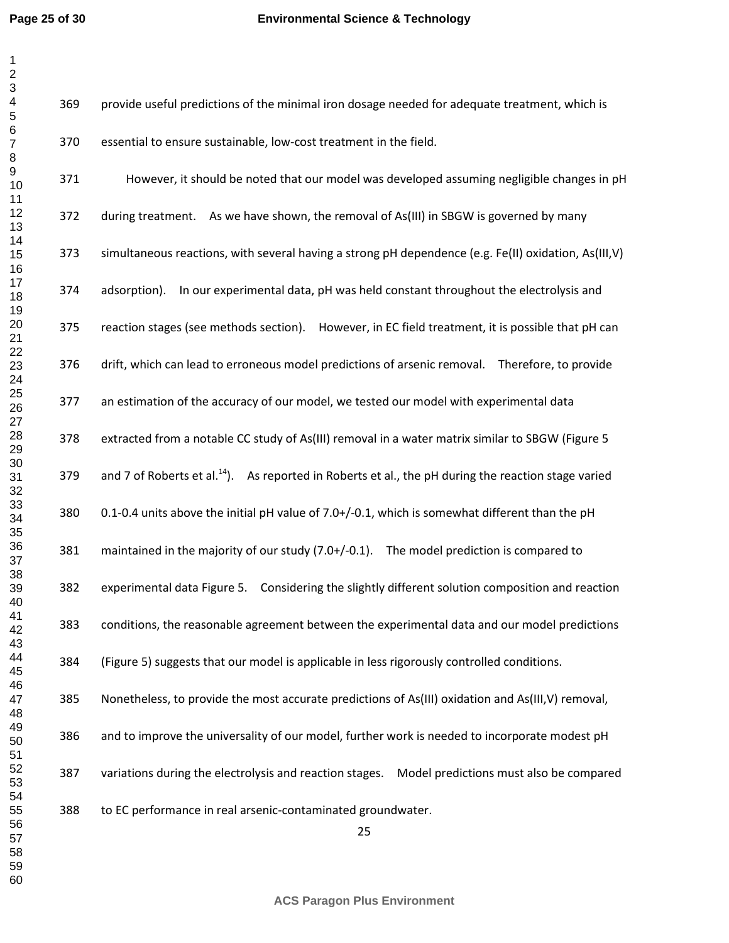## **Environmental Science & Technology**

| 369 | provide useful predictions of the minimal iron dosage needed for adequate treatment, which is                   |
|-----|-----------------------------------------------------------------------------------------------------------------|
| 370 | essential to ensure sustainable, low-cost treatment in the field.                                               |
| 371 | However, it should be noted that our model was developed assuming negligible changes in pH                      |
| 372 | during treatment. As we have shown, the removal of As(III) in SBGW is governed by many                          |
| 373 | simultaneous reactions, with several having a strong pH dependence (e.g. Fe(II) oxidation, As(III,V)            |
| 374 | adsorption). In our experimental data, pH was held constant throughout the electrolysis and                     |
| 375 | reaction stages (see methods section). However, in EC field treatment, it is possible that pH can               |
| 376 | drift, which can lead to erroneous model predictions of arsenic removal. Therefore, to provide                  |
| 377 | an estimation of the accuracy of our model, we tested our model with experimental data                          |
| 378 | extracted from a notable CC study of As(III) removal in a water matrix similar to SBGW (Figure 5                |
| 379 | and 7 of Roberts et al. <sup>14</sup> ). As reported in Roberts et al., the pH during the reaction stage varied |
| 380 | 0.1-0.4 units above the initial pH value of 7.0+/-0.1, which is somewhat different than the pH                  |
| 381 | maintained in the majority of our study (7.0+/-0.1). The model prediction is compared to                        |
| 382 | experimental data Figure 5. Considering the slightly different solution composition and reaction                |
| 383 | conditions, the reasonable agreement between the experimental data and our model predictions                    |
| 384 | (Figure 5) suggests that our model is applicable in less rigorously controlled conditions.                      |
| 385 | Nonetheless, to provide the most accurate predictions of As(III) oxidation and As(III, V) removal,              |
| 386 | and to improve the universality of our model, further work is needed to incorporate modest pH                   |
| 387 | variations during the electrolysis and reaction stages.<br>Model predictions must also be compared              |
|     |                                                                                                                 |

388 to EC performance in real arsenic-contaminated groundwater.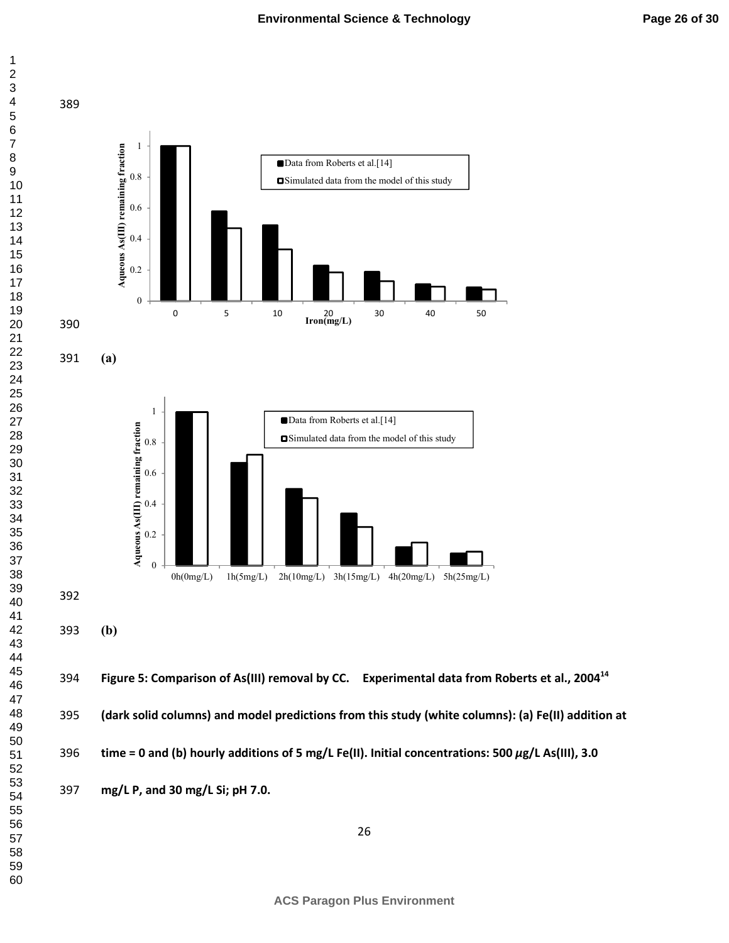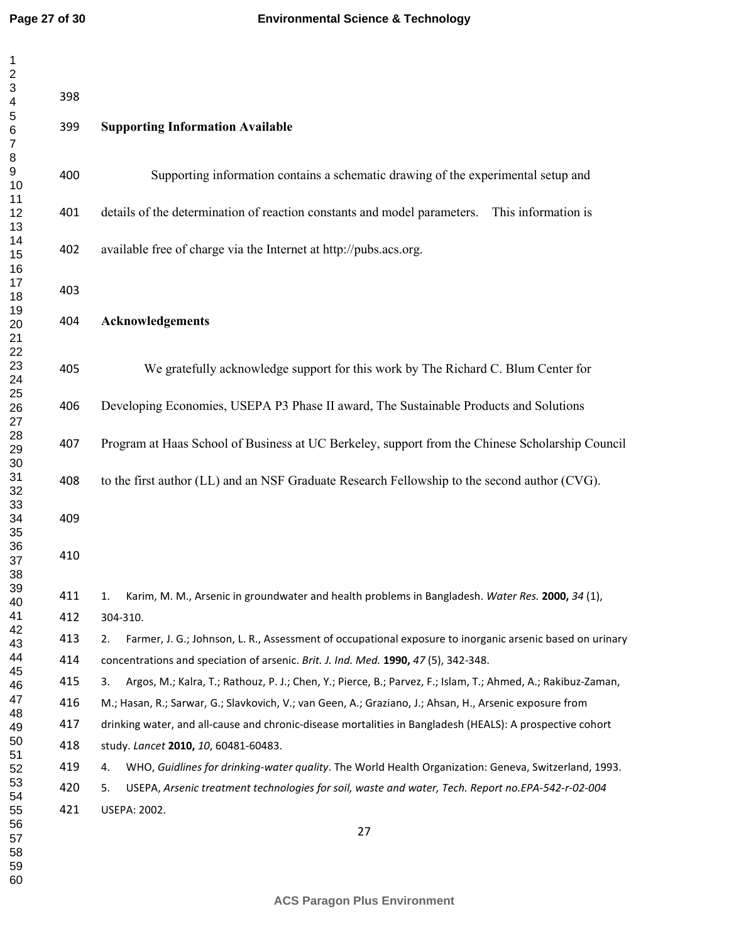| $\mathbf{I}$<br>$\frac{2}{3}$  | 398 |                                                                                                                    |
|--------------------------------|-----|--------------------------------------------------------------------------------------------------------------------|
| 4<br>5                         |     |                                                                                                                    |
| $\,6$<br>$\boldsymbol{7}$<br>8 | 399 | <b>Supporting Information Available</b>                                                                            |
| 9<br>10                        | 400 | Supporting information contains a schematic drawing of the experimental setup and                                  |
| 11<br>12<br>13                 | 401 | details of the determination of reaction constants and model parameters. This information is                       |
| 14<br>15<br>16                 | 402 | available free of charge via the Internet at http://pubs.acs.org.                                                  |
| 17<br>18                       | 403 |                                                                                                                    |
| 19<br>20<br>21                 | 404 | <b>Acknowledgements</b>                                                                                            |
| 22<br>23<br>24                 | 405 | We gratefully acknowledge support for this work by The Richard C. Blum Center for                                  |
| 25<br>26<br>27                 | 406 | Developing Economies, USEPA P3 Phase II award, The Sustainable Products and Solutions                              |
| 28<br>29<br>30                 | 407 | Program at Haas School of Business at UC Berkeley, support from the Chinese Scholarship Council                    |
| 31<br>32                       | 408 | to the first author (LL) and an NSF Graduate Research Fellowship to the second author (CVG).                       |
| 33<br>34<br>35                 | 409 |                                                                                                                    |
| 36<br>37<br>38                 | 410 |                                                                                                                    |
| 39<br>40                       | 411 | Karim, M. M., Arsenic in groundwater and health problems in Bangladesh. Water Res. 2000, 34 (1),                   |
| 41                             | 412 | 304-310.                                                                                                           |
| 42<br>43                       | 413 | Farmer, J. G.; Johnson, L. R., Assessment of occupational exposure to inorganic arsenic based on urinary<br>2.     |
| 44                             | 414 | concentrations and speciation of arsenic. Brit. J. Ind. Med. 1990, 47 (5), 342-348.                                |
| 45<br>46                       | 415 | Argos, M.; Kalra, T.; Rathouz, P. J.; Chen, Y.; Pierce, B.; Parvez, F.; Islam, T.; Ahmed, A.; Rakibuz-Zaman,<br>3. |
| 47                             | 416 | M.; Hasan, R.; Sarwar, G.; Slavkovich, V.; van Geen, A.; Graziano, J.; Ahsan, H., Arsenic exposure from            |
| 48<br>49                       | 417 | drinking water, and all-cause and chronic-disease mortalities in Bangladesh (HEALS): A prospective cohort          |
| 50                             | 418 | study. Lancet 2010, 10, 60481-60483.                                                                               |
| 51<br>52                       | 419 | WHO, Guidlines for drinking-water quality. The World Health Organization: Geneva, Switzerland, 1993.<br>4.         |
| 53                             | 420 | USEPA, Arsenic treatment technologies for soil, waste and water, Tech. Report no.EPA-542-r-02-004<br>5.            |
| 54<br>55                       | 421 | <b>USEPA: 2002.</b>                                                                                                |
| 56<br>57<br>58                 |     | 27                                                                                                                 |
| 59                             |     |                                                                                                                    |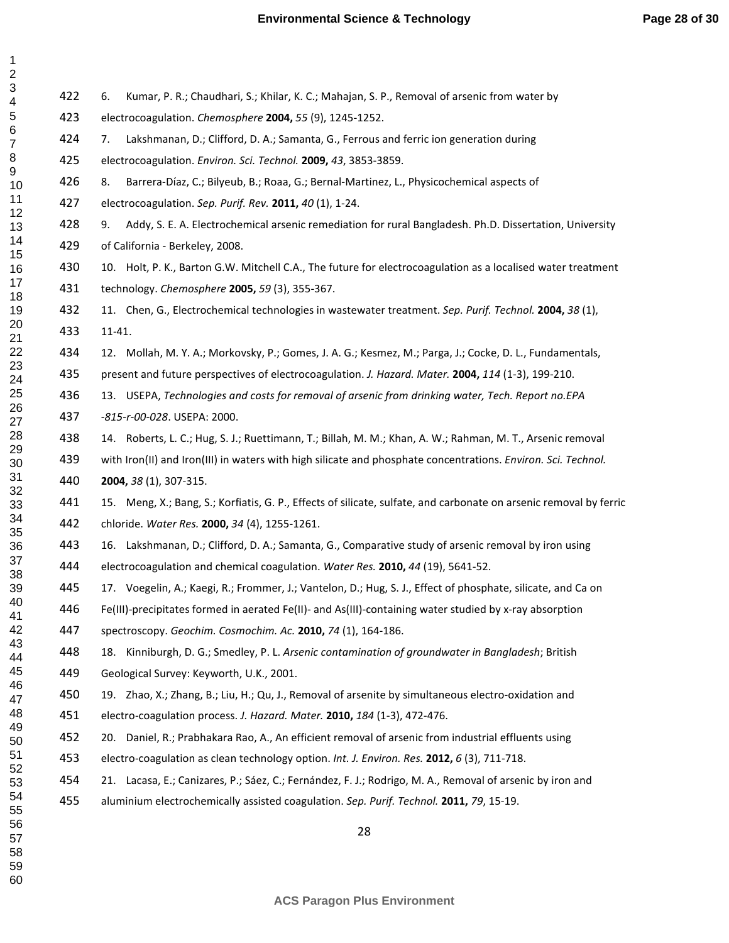| $\overline{\phantom{a}}$                                                                           |  |
|----------------------------------------------------------------------------------------------------|--|
|                                                                                                    |  |
| 3<br>4<br>5                                                                                        |  |
|                                                                                                    |  |
|                                                                                                    |  |
|                                                                                                    |  |
|                                                                                                    |  |
|                                                                                                    |  |
|                                                                                                    |  |
|                                                                                                    |  |
|                                                                                                    |  |
|                                                                                                    |  |
|                                                                                                    |  |
|                                                                                                    |  |
|                                                                                                    |  |
|                                                                                                    |  |
|                                                                                                    |  |
|                                                                                                    |  |
|                                                                                                    |  |
|                                                                                                    |  |
|                                                                                                    |  |
| - 6 7 8 9 10 11 12 13 14 15 16 17 18 19 10 11 12 13 12 13 12 13 13 14 15 16 17 18 19 10 11 12 13 1 |  |
|                                                                                                    |  |
|                                                                                                    |  |
|                                                                                                    |  |
|                                                                                                    |  |
|                                                                                                    |  |
| 223456728222                                                                                       |  |
|                                                                                                    |  |
|                                                                                                    |  |
| $\overline{30}$                                                                                    |  |
| - 7<br>31<br>32<br>34                                                                              |  |
|                                                                                                    |  |
|                                                                                                    |  |
| 33<br>34<br>35                                                                                     |  |
|                                                                                                    |  |
|                                                                                                    |  |
|                                                                                                    |  |
| 36<br>37<br>38                                                                                     |  |
| 38<br>39                                                                                           |  |
| 40                                                                                                 |  |
| 41                                                                                                 |  |
| 42                                                                                                 |  |
| 43                                                                                                 |  |
| 44                                                                                                 |  |
|                                                                                                    |  |
| 45                                                                                                 |  |
| 46                                                                                                 |  |
| 47                                                                                                 |  |
| 48                                                                                                 |  |
| 49                                                                                                 |  |
| 50                                                                                                 |  |
| 51                                                                                                 |  |
| 5                                                                                                  |  |
| 53                                                                                                 |  |
| 54                                                                                                 |  |
| 55                                                                                                 |  |
| 56                                                                                                 |  |
| 57                                                                                                 |  |
| 58                                                                                                 |  |
|                                                                                                    |  |
| 59                                                                                                 |  |
| 60                                                                                                 |  |

| 422 | Kumar, P. R.; Chaudhari, S.; Khilar, K. C.; Mahajan, S. P., Removal of arsenic from water by<br>6.                 |
|-----|--------------------------------------------------------------------------------------------------------------------|
| 423 | electrocoagulation. Chemosphere 2004, 55 (9), 1245-1252.                                                           |
| 424 | Lakshmanan, D.; Clifford, D. A.; Samanta, G., Ferrous and ferric ion generation during<br>7.                       |
| 425 | electrocoagulation. Environ. Sci. Technol. 2009, 43, 3853-3859.                                                    |
| 426 | 8.<br>Barrera-Díaz, C.; Bilyeub, B.; Roaa, G.; Bernal-Martinez, L., Physicochemical aspects of                     |
| 427 | electrocoagulation. Sep. Purif. Rev. 2011, 40 (1), 1-24.                                                           |
| 428 | Addy, S. E. A. Electrochemical arsenic remediation for rural Bangladesh. Ph.D. Dissertation, University<br>9.      |
| 429 | of California - Berkeley, 2008.                                                                                    |
| 430 | 10. Holt, P. K., Barton G.W. Mitchell C.A., The future for electrocoagulation as a localised water treatment       |
| 431 | technology. Chemosphere 2005, 59 (3), 355-367.                                                                     |
| 432 | 11. Chen, G., Electrochemical technologies in wastewater treatment. Sep. Purif. Technol. 2004, 38 (1),             |
| 433 | 11-41.                                                                                                             |
| 434 | 12. Mollah, M. Y. A.; Morkovsky, P.; Gomes, J. A. G.; Kesmez, M.; Parga, J.; Cocke, D. L., Fundamentals,           |
| 435 | present and future perspectives of electrocoagulation. J. Hazard. Mater. 2004, 114 (1-3), 199-210.                 |
| 436 | 13. USEPA, Technologies and costs for removal of arsenic from drinking water, Tech. Report no.EPA                  |
| 437 | -815-r-00-028. USEPA: 2000.                                                                                        |
| 438 | 14. Roberts, L. C.; Hug, S. J.; Ruettimann, T.; Billah, M. M.; Khan, A. W.; Rahman, M. T., Arsenic removal         |
| 439 | with Iron(II) and Iron(III) in waters with high silicate and phosphate concentrations. Environ. Sci. Technol.      |
| 440 | 2004, 38 (1), 307-315.                                                                                             |
| 441 | 15. Meng, X.; Bang, S.; Korfiatis, G. P., Effects of silicate, sulfate, and carbonate on arsenic removal by ferric |
| 442 | chloride. Water Res. 2000, 34 (4), 1255-1261.                                                                      |
| 443 | 16. Lakshmanan, D.; Clifford, D. A.; Samanta, G., Comparative study of arsenic removal by iron using               |
| 444 | electrocoagulation and chemical coagulation. Water Res. 2010, 44 (19), 5641-52.                                    |
| 445 | 17. Voegelin, A.; Kaegi, R.; Frommer, J.; Vantelon, D.; Hug, S. J., Effect of phosphate, silicate, and Ca on       |
| 446 | Fe(III)-precipitates formed in aerated Fe(II)- and As(III)-containing water studied by x-ray absorption            |
| 447 | spectroscopy. Geochim. Cosmochim. Ac. 2010, 74 (1), 164-186.                                                       |
| 448 | 18. Kinniburgh, D. G.; Smedley, P. L. Arsenic contamination of groundwater in Bangladesh; British                  |
| 449 | Geological Survey: Keyworth, U.K., 2001.                                                                           |
| 450 | 19. Zhao, X.; Zhang, B.; Liu, H.; Qu, J., Removal of arsenite by simultaneous electro-oxidation and                |
| 451 | electro-coagulation process. J. Hazard. Mater. 2010, 184 (1-3), 472-476.                                           |
| 452 | 20. Daniel, R.; Prabhakara Rao, A., An efficient removal of arsenic from industrial effluents using                |
| 453 | electro-coagulation as clean technology option. Int. J. Environ. Res. 2012, 6(3), 711-718.                         |
| 454 | 21. Lacasa, E.; Canizares, P.; Sáez, C.; Fernández, F. J.; Rodrigo, M. A., Removal of arsenic by iron and          |
| 455 | aluminium electrochemically assisted coagulation. Sep. Purif. Technol. 2011, 79, 15-19.                            |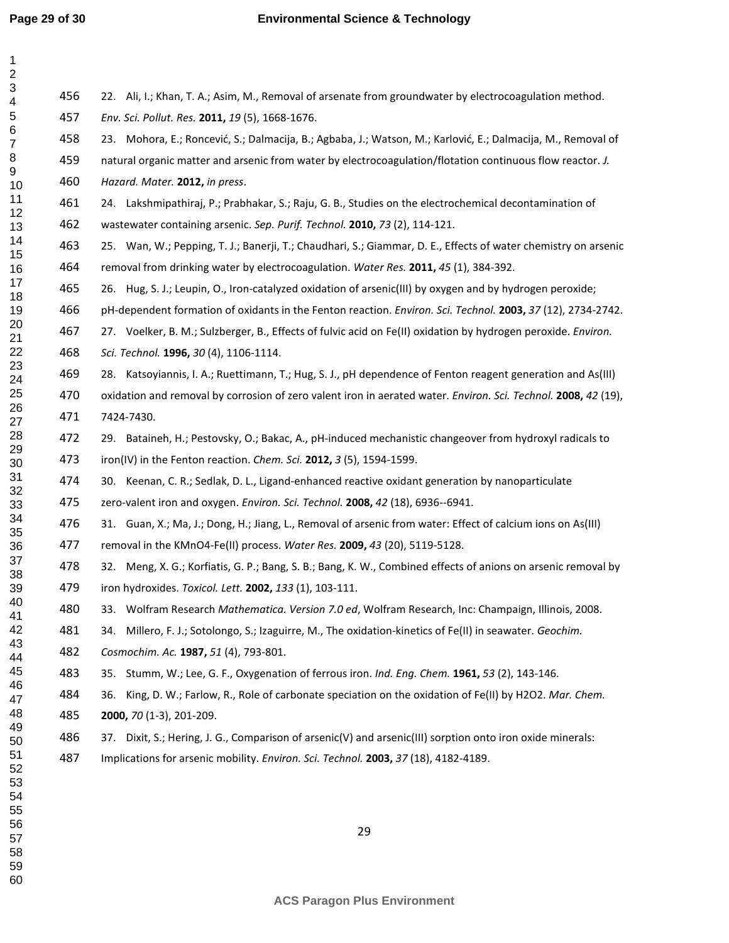**Page 29 of 30**

| $\mathbf{1}$<br>$\boldsymbol{2}$                                                                          |     |                                                                                                                |
|-----------------------------------------------------------------------------------------------------------|-----|----------------------------------------------------------------------------------------------------------------|
| $\ensuremath{\mathsf{3}}$                                                                                 | 456 | 22. Ali, I.; Khan, T. A.; Asim, M., Removal of arsenate from groundwater by electrocoagulation method.         |
| $\overline{\mathbf{4}}$<br>$\mathbf 5$<br>$\,6$<br>$\overline{7}$<br>8<br>9<br>10<br>11<br>12<br>13<br>14 | 457 | Env. Sci. Pollut. Res. 2011, 19 (5), 1668-1676.                                                                |
|                                                                                                           | 458 | 23. Mohora, E.; Roncević, S.; Dalmacija, B.; Agbaba, J.; Watson, M.; Karlović, E.; Dalmacija, M., Removal of   |
|                                                                                                           | 459 | natural organic matter and arsenic from water by electrocoagulation/flotation continuous flow reactor. J.      |
|                                                                                                           | 460 | Hazard. Mater. 2012, in press.                                                                                 |
|                                                                                                           | 461 | 24. Lakshmipathiraj, P.; Prabhakar, S.; Raju, G. B., Studies on the electrochemical decontamination of         |
|                                                                                                           | 462 | wastewater containing arsenic. Sep. Purif. Technol. 2010, 73 (2), 114-121.                                     |
|                                                                                                           | 463 | 25. Wan, W.; Pepping, T. J.; Banerji, T.; Chaudhari, S.; Giammar, D. E., Effects of water chemistry on arsenic |
| 15<br>16                                                                                                  | 464 | removal from drinking water by electrocoagulation. Water Res. 2011, 45 (1), 384-392.                           |
| 17<br>18                                                                                                  | 465 | 26. Hug, S. J.; Leupin, O., Iron-catalyzed oxidation of arsenic(III) by oxygen and by hydrogen peroxide;       |
| 19                                                                                                        | 466 | pH-dependent formation of oxidants in the Fenton reaction. Environ. Sci. Technol. 2003, 37 (12), 2734-2742.    |
| 20<br>21                                                                                                  | 467 | 27. Voelker, B. M.; Sulzberger, B., Effects of fulvic acid on Fe(II) oxidation by hydrogen peroxide. Environ.  |
| 22                                                                                                        | 468 | Sci. Technol. 1996, 30 (4), 1106-1114.                                                                         |
| 23<br>24                                                                                                  | 469 | 28. Katsoyiannis, I. A.; Ruettimann, T.; Hug, S. J., pH dependence of Fenton reagent generation and As(III)    |
| 25<br>26                                                                                                  | 470 | oxidation and removal by corrosion of zero valent iron in aerated water. Environ. Sci. Technol. 2008, 42 (19), |
| 27                                                                                                        | 471 | 7424-7430.                                                                                                     |
| 28<br>29                                                                                                  | 472 | 29. Bataineh, H.; Pestovsky, O.; Bakac, A., pH-induced mechanistic changeover from hydroxyl radicals to        |
| 30                                                                                                        | 473 | iron(IV) in the Fenton reaction. Chem. Sci. 2012, 3 (5), 1594-1599.                                            |
| 31<br>32                                                                                                  | 474 | 30. Keenan, C. R.; Sedlak, D. L., Ligand-enhanced reactive oxidant generation by nanoparticulate               |
| 33                                                                                                        | 475 | zero-valent iron and oxygen. Environ. Sci. Technol. 2008, 42 (18), 6936--6941.                                 |
| 34<br>35                                                                                                  | 476 | 31. Guan, X.; Ma, J.; Dong, H.; Jiang, L., Removal of arsenic from water: Effect of calcium ions on As(III)    |
| 36                                                                                                        | 477 | removal in the KMnO4-Fe(II) process. Water Res. 2009, 43 (20), 5119-5128.                                      |
| 37<br>38                                                                                                  | 478 | 32. Meng, X. G.; Korfiatis, G. P.; Bang, S. B.; Bang, K. W., Combined effects of anions on arsenic removal by  |
| 39<br>40                                                                                                  | 479 | iron hydroxides. Toxicol. Lett. 2002, 133 (1), 103-111.                                                        |
| 41                                                                                                        | 480 | 33. Wolfram Research Mathematica. Version 7.0 ed, Wolfram Research, Inc: Champaign, Illinois, 2008.            |
| 42<br>43                                                                                                  | 481 | 34. Millero, F. J.; Sotolongo, S.; Izaguirre, M., The oxidation-kinetics of Fe(II) in seawater. Geochim.       |
| 44                                                                                                        | 482 | Cosmochim. Ac. 1987, 51 (4), 793-801.                                                                          |
| 45<br>46                                                                                                  | 483 | 35. Stumm, W.; Lee, G. F., Oxygenation of ferrous iron. Ind. Eng. Chem. 1961, 53 (2), 143-146.                 |
| 47                                                                                                        | 484 | 36. King, D. W.; Farlow, R., Role of carbonate speciation on the oxidation of Fe(II) by H2O2. Mar. Chem.       |
| 48<br>49<br>50                                                                                            | 485 | 2000, 70 (1-3), 201-209.                                                                                       |
|                                                                                                           | 486 | 37. Dixit, S.; Hering, J. G., Comparison of arsenic(V) and arsenic(III) sorption onto iron oxide minerals:     |
| 51<br>52                                                                                                  | 487 | Implications for arsenic mobility. Environ. Sci. Technol. 2003, 37 (18), 4182-4189.                            |
| 53<br>54                                                                                                  |     |                                                                                                                |
| 55                                                                                                        |     |                                                                                                                |
| 56<br>57                                                                                                  |     | 29                                                                                                             |
| 58                                                                                                        |     |                                                                                                                |
| 59                                                                                                        |     |                                                                                                                |